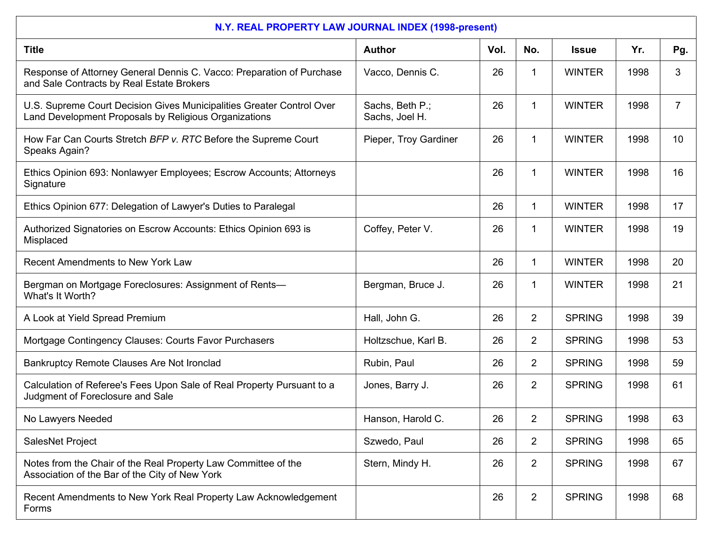| N.Y. REAL PROPERTY LAW JOURNAL INDEX (1998-present)                                                                            |                                   |      |                |               |      |                |  |  |
|--------------------------------------------------------------------------------------------------------------------------------|-----------------------------------|------|----------------|---------------|------|----------------|--|--|
| <b>Title</b>                                                                                                                   | <b>Author</b>                     | Vol. | No.            | <b>Issue</b>  | Yr.  | Pg.            |  |  |
| Response of Attorney General Dennis C. Vacco: Preparation of Purchase<br>and Sale Contracts by Real Estate Brokers             | Vacco, Dennis C.                  | 26   | 1              | <b>WINTER</b> | 1998 | 3              |  |  |
| U.S. Supreme Court Decision Gives Municipalities Greater Control Over<br>Land Development Proposals by Religious Organizations | Sachs, Beth P.;<br>Sachs, Joel H. | 26   | 1              | <b>WINTER</b> | 1998 | $\overline{7}$ |  |  |
| How Far Can Courts Stretch BFP v. RTC Before the Supreme Court<br>Speaks Again?                                                | Pieper, Troy Gardiner             | 26   | 1              | <b>WINTER</b> | 1998 | 10             |  |  |
| Ethics Opinion 693: Nonlawyer Employees; Escrow Accounts; Attorneys<br>Signature                                               |                                   | 26   | 1              | <b>WINTER</b> | 1998 | 16             |  |  |
| Ethics Opinion 677: Delegation of Lawyer's Duties to Paralegal                                                                 |                                   | 26   | 1              | <b>WINTER</b> | 1998 | 17             |  |  |
| Authorized Signatories on Escrow Accounts: Ethics Opinion 693 is<br>Misplaced                                                  | Coffey, Peter V.                  | 26   | 1              | <b>WINTER</b> | 1998 | 19             |  |  |
| <b>Recent Amendments to New York Law</b>                                                                                       |                                   | 26   | 1              | <b>WINTER</b> | 1998 | 20             |  |  |
| Bergman on Mortgage Foreclosures: Assignment of Rents-<br>What's It Worth?                                                     | Bergman, Bruce J.                 | 26   | 1              | <b>WINTER</b> | 1998 | 21             |  |  |
| A Look at Yield Spread Premium                                                                                                 | Hall, John G.                     | 26   | $\overline{2}$ | <b>SPRING</b> | 1998 | 39             |  |  |
| Mortgage Contingency Clauses: Courts Favor Purchasers                                                                          | Holtzschue, Karl B.               | 26   | 2              | <b>SPRING</b> | 1998 | 53             |  |  |
| Bankruptcy Remote Clauses Are Not Ironclad                                                                                     | Rubin, Paul                       | 26   | $\overline{2}$ | <b>SPRING</b> | 1998 | 59             |  |  |
| Calculation of Referee's Fees Upon Sale of Real Property Pursuant to a<br>Judgment of Foreclosure and Sale                     | Jones, Barry J.                   | 26   | $\overline{2}$ | <b>SPRING</b> | 1998 | 61             |  |  |
| No Lawyers Needed                                                                                                              | Hanson, Harold C.                 | 26   | 2              | <b>SPRING</b> | 1998 | 63             |  |  |
| SalesNet Project                                                                                                               | Szwedo, Paul                      | 26   | $\overline{2}$ | <b>SPRING</b> | 1998 | 65             |  |  |
| Notes from the Chair of the Real Property Law Committee of the<br>Association of the Bar of the City of New York               | Stern, Mindy H.                   | 26   | $\overline{2}$ | <b>SPRING</b> | 1998 | 67             |  |  |
| Recent Amendments to New York Real Property Law Acknowledgement<br>Forms                                                       |                                   | 26   | $\overline{2}$ | <b>SPRING</b> | 1998 | 68             |  |  |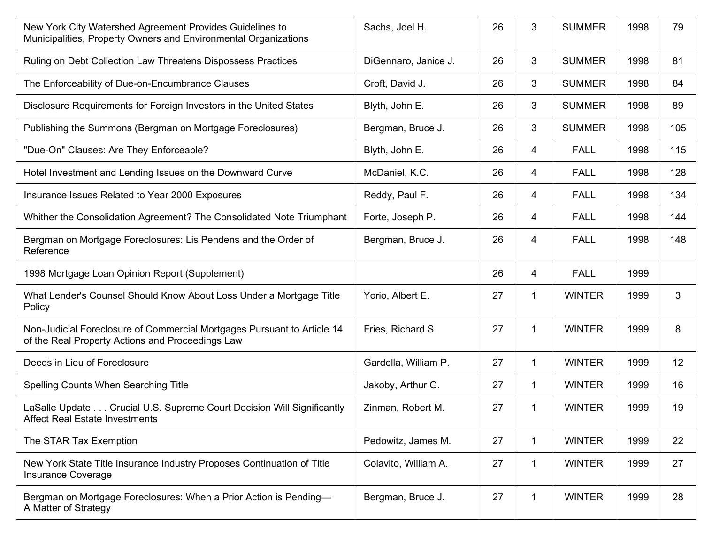| New York City Watershed Agreement Provides Guidelines to<br>Municipalities, Property Owners and Environmental Organizations | Sachs, Joel H.       | 26 | 3 | <b>SUMMER</b> | 1998 | 79  |
|-----------------------------------------------------------------------------------------------------------------------------|----------------------|----|---|---------------|------|-----|
| Ruling on Debt Collection Law Threatens Dispossess Practices                                                                | DiGennaro, Janice J. | 26 | 3 | <b>SUMMER</b> | 1998 | 81  |
| The Enforceability of Due-on-Encumbrance Clauses                                                                            | Croft, David J.      | 26 | 3 | <b>SUMMER</b> | 1998 | 84  |
| Disclosure Requirements for Foreign Investors in the United States                                                          | Blyth, John E.       | 26 | 3 | <b>SUMMER</b> | 1998 | 89  |
| Publishing the Summons (Bergman on Mortgage Foreclosures)                                                                   | Bergman, Bruce J.    | 26 | 3 | <b>SUMMER</b> | 1998 | 105 |
| "Due-On" Clauses: Are They Enforceable?                                                                                     | Blyth, John E.       | 26 | 4 | <b>FALL</b>   | 1998 | 115 |
| Hotel Investment and Lending Issues on the Downward Curve                                                                   | McDaniel, K.C.       | 26 | 4 | <b>FALL</b>   | 1998 | 128 |
| Insurance Issues Related to Year 2000 Exposures                                                                             | Reddy, Paul F.       | 26 | 4 | <b>FALL</b>   | 1998 | 134 |
| Whither the Consolidation Agreement? The Consolidated Note Triumphant                                                       | Forte, Joseph P.     | 26 | 4 | <b>FALL</b>   | 1998 | 144 |
| Bergman on Mortgage Foreclosures: Lis Pendens and the Order of<br>Reference                                                 | Bergman, Bruce J.    | 26 | 4 | <b>FALL</b>   | 1998 | 148 |
| 1998 Mortgage Loan Opinion Report (Supplement)                                                                              |                      | 26 | 4 | <b>FALL</b>   | 1999 |     |
| What Lender's Counsel Should Know About Loss Under a Mortgage Title<br>Policy                                               | Yorio, Albert E.     | 27 | 1 | <b>WINTER</b> | 1999 | 3   |
| Non-Judicial Foreclosure of Commercial Mortgages Pursuant to Article 14<br>of the Real Property Actions and Proceedings Law | Fries, Richard S.    | 27 | 1 | <b>WINTER</b> | 1999 | 8   |
| Deeds in Lieu of Foreclosure                                                                                                | Gardella, William P. | 27 | 1 | <b>WINTER</b> | 1999 | 12  |
| <b>Spelling Counts When Searching Title</b>                                                                                 | Jakoby, Arthur G.    | 27 | 1 | <b>WINTER</b> | 1999 | 16  |
| LaSalle Update Crucial U.S. Supreme Court Decision Will Significantly<br><b>Affect Real Estate Investments</b>              | Zinman, Robert M.    | 27 | 1 | <b>WINTER</b> | 1999 | 19  |
| The STAR Tax Exemption                                                                                                      | Pedowitz, James M.   | 27 |   | <b>WINTER</b> | 1999 | 22  |
| New York State Title Insurance Industry Proposes Continuation of Title<br><b>Insurance Coverage</b>                         | Colavito, William A. | 27 | 1 | <b>WINTER</b> | 1999 | 27  |
| Bergman on Mortgage Foreclosures: When a Prior Action is Pending-<br>A Matter of Strategy                                   | Bergman, Bruce J.    | 27 |   | <b>WINTER</b> | 1999 | 28  |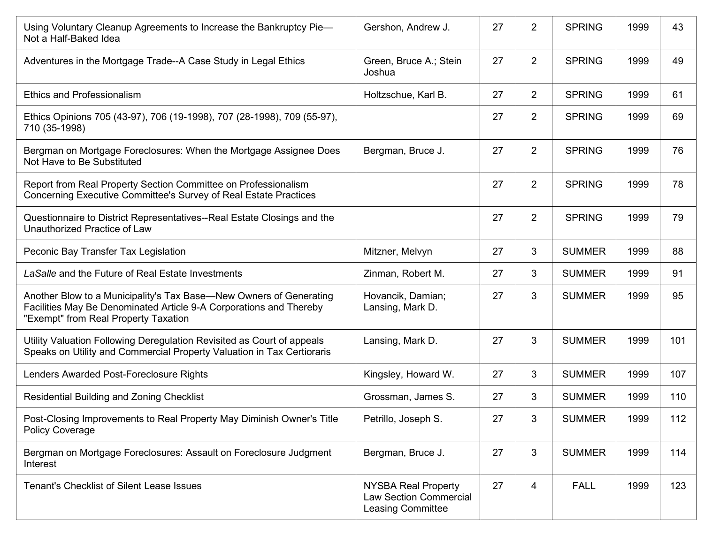| Using Voluntary Cleanup Agreements to Increase the Bankruptcy Pie-<br>Not a Half-Baked Idea                                                                                      | Gershon, Andrew J.                                                                      | 27 | $\mathbf{2}$   | <b>SPRING</b> | 1999 | 43  |
|----------------------------------------------------------------------------------------------------------------------------------------------------------------------------------|-----------------------------------------------------------------------------------------|----|----------------|---------------|------|-----|
| Adventures in the Mortgage Trade--A Case Study in Legal Ethics                                                                                                                   | Green, Bruce A.; Stein<br>Joshua                                                        | 27 | 2              | <b>SPRING</b> | 1999 | 49  |
| <b>Ethics and Professionalism</b>                                                                                                                                                | Holtzschue, Karl B.                                                                     | 27 | $\overline{2}$ | <b>SPRING</b> | 1999 | 61  |
| Ethics Opinions 705 (43-97), 706 (19-1998), 707 (28-1998), 709 (55-97),<br>710 (35-1998)                                                                                         |                                                                                         | 27 | 2              | <b>SPRING</b> | 1999 | 69  |
| Bergman on Mortgage Foreclosures: When the Mortgage Assignee Does<br>Not Have to Be Substituted                                                                                  | Bergman, Bruce J.                                                                       | 27 | $\overline{2}$ | <b>SPRING</b> | 1999 | 76  |
| Report from Real Property Section Committee on Professionalism<br>Concerning Executive Committee's Survey of Real Estate Practices                                               |                                                                                         | 27 | $\overline{2}$ | <b>SPRING</b> | 1999 | 78  |
| Questionnaire to District Representatives--Real Estate Closings and the<br>Unauthorized Practice of Law                                                                          |                                                                                         | 27 | $\overline{2}$ | <b>SPRING</b> | 1999 | 79  |
| Peconic Bay Transfer Tax Legislation                                                                                                                                             | Mitzner, Melvyn                                                                         | 27 | 3              | <b>SUMMER</b> | 1999 | 88  |
| LaSalle and the Future of Real Estate Investments                                                                                                                                | Zinman, Robert M.                                                                       | 27 | 3              | <b>SUMMER</b> | 1999 | 91  |
| Another Blow to a Municipality's Tax Base-New Owners of Generating<br>Facilities May Be Denominated Article 9-A Corporations and Thereby<br>"Exempt" from Real Property Taxation | Hovancik, Damian;<br>Lansing, Mark D.                                                   | 27 | 3              | <b>SUMMER</b> | 1999 | 95  |
| Utility Valuation Following Deregulation Revisited as Court of appeals<br>Speaks on Utility and Commercial Property Valuation in Tax Certioraris                                 | Lansing, Mark D.                                                                        | 27 | 3              | <b>SUMMER</b> | 1999 | 101 |
| Lenders Awarded Post-Foreclosure Rights                                                                                                                                          | Kingsley, Howard W.                                                                     | 27 | 3              | <b>SUMMER</b> | 1999 | 107 |
| <b>Residential Building and Zoning Checklist</b>                                                                                                                                 | Grossman, James S.                                                                      | 27 | 3              | <b>SUMMER</b> | 1999 | 110 |
| Post-Closing Improvements to Real Property May Diminish Owner's Title<br><b>Policy Coverage</b>                                                                                  | Petrillo, Joseph S.                                                                     | 27 | 3              | <b>SUMMER</b> | 1999 | 112 |
| Bergman on Mortgage Foreclosures: Assault on Foreclosure Judgment<br>Interest                                                                                                    | Bergman, Bruce J.                                                                       | 27 | 3              | <b>SUMMER</b> | 1999 | 114 |
| <b>Tenant's Checklist of Silent Lease Issues</b>                                                                                                                                 | <b>NYSBA Real Property</b><br><b>Law Section Commercial</b><br><b>Leasing Committee</b> | 27 | 4              | <b>FALL</b>   | 1999 | 123 |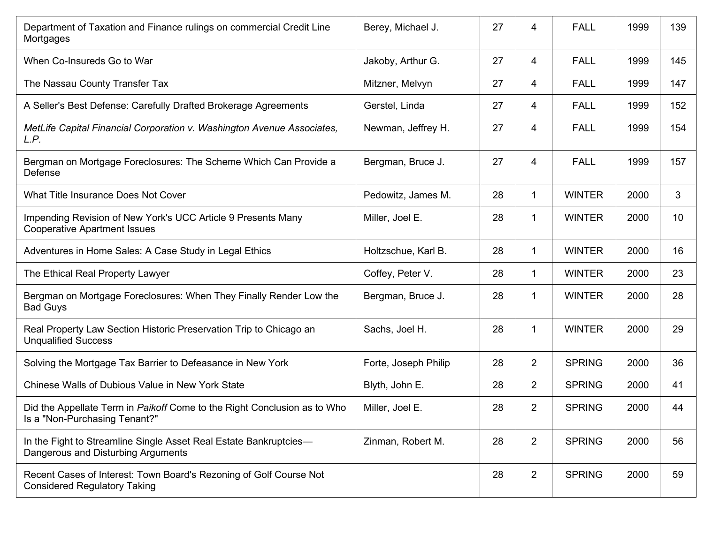| Department of Taxation and Finance rulings on commercial Credit Line<br>Mortgages                         | Berey, Michael J.    | 27 | 4              | <b>FALL</b>   | 1999 | 139             |
|-----------------------------------------------------------------------------------------------------------|----------------------|----|----------------|---------------|------|-----------------|
| When Co-Insureds Go to War                                                                                | Jakoby, Arthur G.    | 27 | 4              | <b>FALL</b>   | 1999 | 145             |
| The Nassau County Transfer Tax                                                                            | Mitzner, Melvyn      | 27 | 4              | <b>FALL</b>   | 1999 | 147             |
| A Seller's Best Defense: Carefully Drafted Brokerage Agreements                                           | Gerstel, Linda       | 27 | 4              | <b>FALL</b>   | 1999 | 152             |
| MetLife Capital Financial Corporation v. Washington Avenue Associates,<br>L.P.                            | Newman, Jeffrey H.   | 27 | 4              | <b>FALL</b>   | 1999 | 154             |
| Bergman on Mortgage Foreclosures: The Scheme Which Can Provide a<br>Defense                               | Bergman, Bruce J.    | 27 | 4              | <b>FALL</b>   | 1999 | 157             |
| <b>What Title Insurance Does Not Cover</b>                                                                | Pedowitz, James M.   | 28 |                | <b>WINTER</b> | 2000 | 3               |
| Impending Revision of New York's UCC Article 9 Presents Many<br><b>Cooperative Apartment Issues</b>       | Miller, Joel E.      | 28 | 1              | <b>WINTER</b> | 2000 | 10 <sup>°</sup> |
| Adventures in Home Sales: A Case Study in Legal Ethics                                                    | Holtzschue, Karl B.  | 28 | 1              | <b>WINTER</b> | 2000 | 16              |
| The Ethical Real Property Lawyer                                                                          | Coffey, Peter V.     | 28 | 1              | <b>WINTER</b> | 2000 | 23              |
| Bergman on Mortgage Foreclosures: When They Finally Render Low the<br><b>Bad Guys</b>                     | Bergman, Bruce J.    | 28 |                | <b>WINTER</b> | 2000 | 28              |
| Real Property Law Section Historic Preservation Trip to Chicago an<br><b>Unqualified Success</b>          | Sachs, Joel H.       | 28 |                | <b>WINTER</b> | 2000 | 29              |
| Solving the Mortgage Tax Barrier to Defeasance in New York                                                | Forte, Joseph Philip | 28 | $\overline{2}$ | <b>SPRING</b> | 2000 | 36              |
| Chinese Walls of Dubious Value in New York State                                                          | Blyth, John E.       | 28 | $\overline{2}$ | <b>SPRING</b> | 2000 | 41              |
| Did the Appellate Term in Paikoff Come to the Right Conclusion as to Who<br>Is a "Non-Purchasing Tenant?" | Miller, Joel E.      | 28 | $\mathbf{2}$   | <b>SPRING</b> | 2000 | 44              |
| In the Fight to Streamline Single Asset Real Estate Bankruptcies-<br>Dangerous and Disturbing Arguments   | Zinman, Robert M.    | 28 | $\overline{2}$ | <b>SPRING</b> | 2000 | 56              |
| Recent Cases of Interest: Town Board's Rezoning of Golf Course Not<br><b>Considered Regulatory Taking</b> |                      | 28 | $\overline{2}$ | <b>SPRING</b> | 2000 | 59              |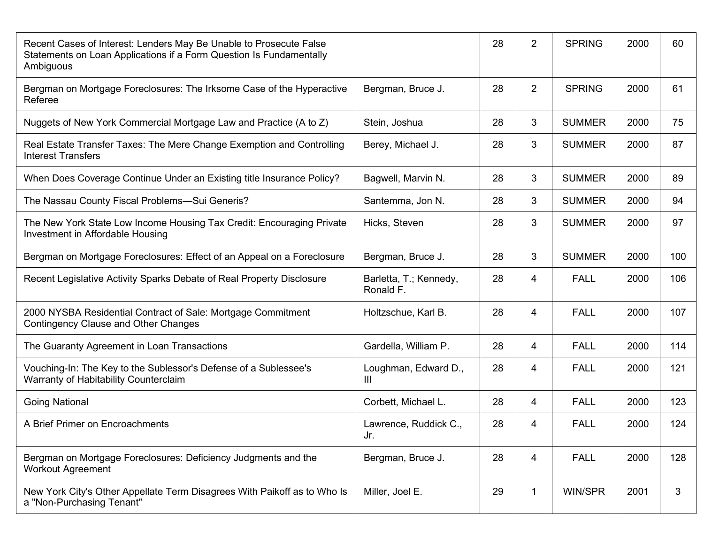| Recent Cases of Interest: Lenders May Be Unable to Prosecute False<br>Statements on Loan Applications if a Form Question Is Fundamentally<br>Ambiguous |                                        | 28 | $\overline{2}$ | <b>SPRING</b> | 2000 | 60  |
|--------------------------------------------------------------------------------------------------------------------------------------------------------|----------------------------------------|----|----------------|---------------|------|-----|
| Bergman on Mortgage Foreclosures: The Irksome Case of the Hyperactive<br>Referee                                                                       | Bergman, Bruce J.                      | 28 | 2              | <b>SPRING</b> | 2000 | 61  |
| Nuggets of New York Commercial Mortgage Law and Practice (A to Z)                                                                                      | Stein, Joshua                          | 28 | 3              | <b>SUMMER</b> | 2000 | 75  |
| Real Estate Transfer Taxes: The Mere Change Exemption and Controlling<br><b>Interest Transfers</b>                                                     | Berey, Michael J.                      | 28 | 3              | <b>SUMMER</b> | 2000 | 87  |
| When Does Coverage Continue Under an Existing title Insurance Policy?                                                                                  | Bagwell, Marvin N.                     | 28 | 3              | <b>SUMMER</b> | 2000 | 89  |
| The Nassau County Fiscal Problems-Sui Generis?                                                                                                         | Santemma, Jon N.                       | 28 | 3              | <b>SUMMER</b> | 2000 | 94  |
| The New York State Low Income Housing Tax Credit: Encouraging Private<br>Investment in Affordable Housing                                              | Hicks, Steven                          | 28 | 3              | <b>SUMMER</b> | 2000 | 97  |
| Bergman on Mortgage Foreclosures: Effect of an Appeal on a Foreclosure                                                                                 | Bergman, Bruce J.                      | 28 | 3              | <b>SUMMER</b> | 2000 | 100 |
| Recent Legislative Activity Sparks Debate of Real Property Disclosure                                                                                  | Barletta, T.; Kennedy,<br>Ronald F.    | 28 | 4              | <b>FALL</b>   | 2000 | 106 |
| 2000 NYSBA Residential Contract of Sale: Mortgage Commitment<br><b>Contingency Clause and Other Changes</b>                                            | Holtzschue, Karl B.                    | 28 | 4              | <b>FALL</b>   | 2000 | 107 |
| The Guaranty Agreement in Loan Transactions                                                                                                            | Gardella, William P.                   | 28 | 4              | <b>FALL</b>   | 2000 | 114 |
| Vouching-In: The Key to the Sublessor's Defense of a Sublessee's<br>Warranty of Habitability Counterclaim                                              | Loughman, Edward D.,<br>$\mathbf{III}$ | 28 | 4              | <b>FALL</b>   | 2000 | 121 |
| <b>Going National</b>                                                                                                                                  | Corbett, Michael L.                    | 28 | 4              | <b>FALL</b>   | 2000 | 123 |
| A Brief Primer on Encroachments                                                                                                                        | Lawrence, Ruddick C.,<br>Jr.           | 28 | 4              | <b>FALL</b>   | 2000 | 124 |
| Bergman on Mortgage Foreclosures: Deficiency Judgments and the<br><b>Workout Agreement</b>                                                             | Bergman, Bruce J.                      | 28 | 4              | <b>FALL</b>   | 2000 | 128 |
| New York City's Other Appellate Term Disagrees With Paikoff as to Who Is<br>a "Non-Purchasing Tenant"                                                  | Miller, Joel E.                        | 29 |                | WIN/SPR       | 2001 | 3   |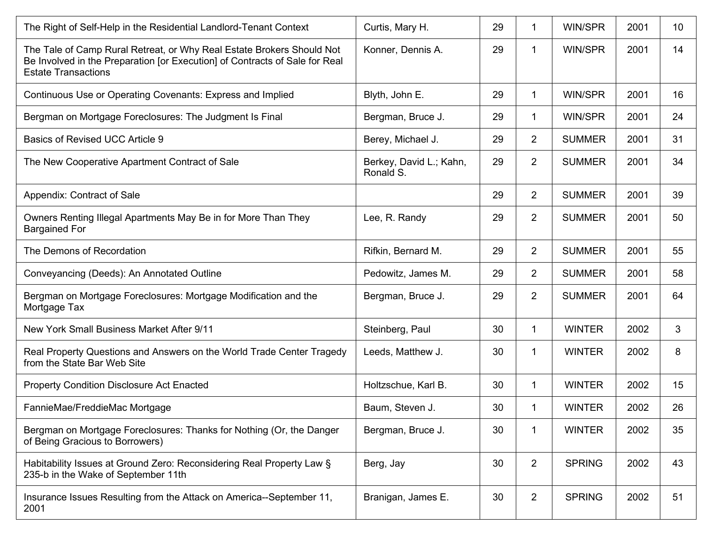| The Right of Self-Help in the Residential Landlord-Tenant Context                                                                                                                  | Curtis, Mary H.                      | 29 |                | <b>WIN/SPR</b> | 2001 | 10 |
|------------------------------------------------------------------------------------------------------------------------------------------------------------------------------------|--------------------------------------|----|----------------|----------------|------|----|
| The Tale of Camp Rural Retreat, or Why Real Estate Brokers Should Not<br>Be Involved in the Preparation [or Execution] of Contracts of Sale for Real<br><b>Estate Transactions</b> | Konner, Dennis A.                    | 29 |                | WIN/SPR        | 2001 | 14 |
| Continuous Use or Operating Covenants: Express and Implied                                                                                                                         | Blyth, John E.                       | 29 |                | WIN/SPR        | 2001 | 16 |
| Bergman on Mortgage Foreclosures: The Judgment Is Final                                                                                                                            | Bergman, Bruce J.                    | 29 |                | WIN/SPR        | 2001 | 24 |
| <b>Basics of Revised UCC Article 9</b>                                                                                                                                             | Berey, Michael J.                    | 29 | $\overline{2}$ | <b>SUMMER</b>  | 2001 | 31 |
| The New Cooperative Apartment Contract of Sale                                                                                                                                     | Berkey, David L.; Kahn,<br>Ronald S. | 29 | $\overline{2}$ | <b>SUMMER</b>  | 2001 | 34 |
| Appendix: Contract of Sale                                                                                                                                                         |                                      | 29 | $\overline{2}$ | <b>SUMMER</b>  | 2001 | 39 |
| Owners Renting Illegal Apartments May Be in for More Than They<br><b>Bargained For</b>                                                                                             | Lee, R. Randy                        | 29 | $\overline{2}$ | <b>SUMMER</b>  | 2001 | 50 |
| The Demons of Recordation                                                                                                                                                          | Rifkin, Bernard M.                   | 29 | $\overline{2}$ | <b>SUMMER</b>  | 2001 | 55 |
| Conveyancing (Deeds): An Annotated Outline                                                                                                                                         | Pedowitz, James M.                   | 29 | $\overline{2}$ | <b>SUMMER</b>  | 2001 | 58 |
| Bergman on Mortgage Foreclosures: Mortgage Modification and the<br>Mortgage Tax                                                                                                    | Bergman, Bruce J.                    | 29 | $\overline{2}$ | <b>SUMMER</b>  | 2001 | 64 |
| New York Small Business Market After 9/11                                                                                                                                          | Steinberg, Paul                      | 30 | 1              | <b>WINTER</b>  | 2002 | 3  |
| Real Property Questions and Answers on the World Trade Center Tragedy<br>from the State Bar Web Site                                                                               | Leeds, Matthew J.                    | 30 |                | <b>WINTER</b>  | 2002 | 8  |
| <b>Property Condition Disclosure Act Enacted</b>                                                                                                                                   | Holtzschue, Karl B.                  | 30 | 1              | <b>WINTER</b>  | 2002 | 15 |
| FannieMae/FreddieMac Mortgage                                                                                                                                                      | Baum, Steven J.                      | 30 |                | <b>WINTER</b>  | 2002 | 26 |
| Bergman on Mortgage Foreclosures: Thanks for Nothing (Or, the Danger<br>of Being Gracious to Borrowers)                                                                            | Bergman, Bruce J.                    | 30 |                | <b>WINTER</b>  | 2002 | 35 |
| Habitability Issues at Ground Zero: Reconsidering Real Property Law §<br>235-b in the Wake of September 11th                                                                       | Berg, Jay                            | 30 | $\overline{2}$ | <b>SPRING</b>  | 2002 | 43 |
| Insurance Issues Resulting from the Attack on America--September 11,<br>2001                                                                                                       | Branigan, James E.                   | 30 | $\overline{2}$ | <b>SPRING</b>  | 2002 | 51 |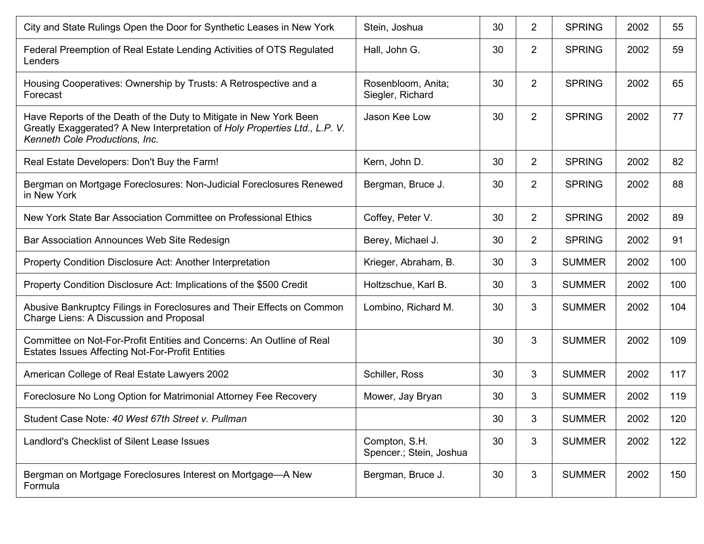| City and State Rulings Open the Door for Synthetic Leases in New York                                                                                                              | Stein, Joshua                            | 30 | $\overline{2}$ | <b>SPRING</b> | 2002 | 55  |
|------------------------------------------------------------------------------------------------------------------------------------------------------------------------------------|------------------------------------------|----|----------------|---------------|------|-----|
| Federal Preemption of Real Estate Lending Activities of OTS Regulated<br>Lenders                                                                                                   | Hall, John G.                            | 30 | $\overline{2}$ | <b>SPRING</b> | 2002 | 59  |
| Housing Cooperatives: Ownership by Trusts: A Retrospective and a<br>Forecast                                                                                                       | Rosenbloom, Anita;<br>Siegler, Richard   | 30 | $\overline{2}$ | <b>SPRING</b> | 2002 | 65  |
| Have Reports of the Death of the Duty to Mitigate in New York Been<br>Greatly Exaggerated? A New Interpretation of Holy Properties Ltd., L.P. V.<br>Kenneth Cole Productions, Inc. | Jason Kee Low                            | 30 | $\overline{2}$ | <b>SPRING</b> | 2002 | 77  |
| Real Estate Developers: Don't Buy the Farm!                                                                                                                                        | Kern, John D.                            | 30 | $\overline{2}$ | <b>SPRING</b> | 2002 | 82  |
| Bergman on Mortgage Foreclosures: Non-Judicial Foreclosures Renewed<br>in New York                                                                                                 | Bergman, Bruce J.                        | 30 | $\overline{2}$ | <b>SPRING</b> | 2002 | 88  |
| New York State Bar Association Committee on Professional Ethics                                                                                                                    | Coffey, Peter V.                         | 30 | $\overline{2}$ | <b>SPRING</b> | 2002 | 89  |
| Bar Association Announces Web Site Redesign                                                                                                                                        | Berey, Michael J.                        | 30 | $\overline{2}$ | <b>SPRING</b> | 2002 | 91  |
| Property Condition Disclosure Act: Another Interpretation                                                                                                                          | Krieger, Abraham, B.                     | 30 | 3              | <b>SUMMER</b> | 2002 | 100 |
| Property Condition Disclosure Act: Implications of the \$500 Credit                                                                                                                | Holtzschue, Karl B.                      | 30 | 3              | <b>SUMMER</b> | 2002 | 100 |
| Abusive Bankruptcy Filings in Foreclosures and Their Effects on Common<br>Charge Liens: A Discussion and Proposal                                                                  | Lombino, Richard M.                      | 30 | 3              | <b>SUMMER</b> | 2002 | 104 |
| Committee on Not-For-Profit Entities and Concerns: An Outline of Real<br><b>Estates Issues Affecting Not-For-Profit Entities</b>                                                   |                                          | 30 | 3              | <b>SUMMER</b> | 2002 | 109 |
| American College of Real Estate Lawyers 2002                                                                                                                                       | Schiller, Ross                           | 30 | 3              | <b>SUMMER</b> | 2002 | 117 |
| Foreclosure No Long Option for Matrimonial Attorney Fee Recovery                                                                                                                   | Mower, Jay Bryan                         | 30 | 3              | <b>SUMMER</b> | 2002 | 119 |
| Student Case Note: 40 West 67th Street v. Pullman                                                                                                                                  |                                          | 30 | 3              | <b>SUMMER</b> | 2002 | 120 |
| Landlord's Checklist of Silent Lease Issues                                                                                                                                        | Compton, S.H.<br>Spencer.; Stein, Joshua | 30 | 3              | <b>SUMMER</b> | 2002 | 122 |
| Bergman on Mortgage Foreclosures Interest on Mortgage-A New<br>Formula                                                                                                             | Bergman, Bruce J.                        | 30 | 3              | <b>SUMMER</b> | 2002 | 150 |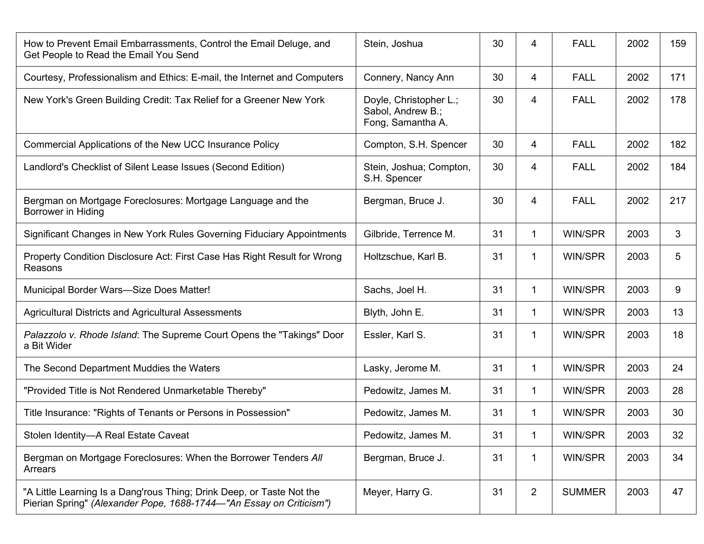| How to Prevent Email Embarrassments, Control the Email Deluge, and<br>Get People to Read the Email You Send                                  | Stein, Joshua                                                    | 30 | 4 | <b>FALL</b>    | 2002 | 159 |
|----------------------------------------------------------------------------------------------------------------------------------------------|------------------------------------------------------------------|----|---|----------------|------|-----|
| Courtesy, Professionalism and Ethics: E-mail, the Internet and Computers                                                                     | Connery, Nancy Ann                                               | 30 | 4 | <b>FALL</b>    | 2002 | 171 |
| New York's Green Building Credit: Tax Relief for a Greener New York                                                                          | Doyle, Christopher L.;<br>Sabol, Andrew B.;<br>Fong, Samantha A. | 30 | 4 | <b>FALL</b>    | 2002 | 178 |
| Commercial Applications of the New UCC Insurance Policy                                                                                      | Compton, S.H. Spencer                                            | 30 | 4 | <b>FALL</b>    | 2002 | 182 |
| Landlord's Checklist of Silent Lease Issues (Second Edition)                                                                                 | Stein, Joshua; Compton,<br>S.H. Spencer                          | 30 | 4 | <b>FALL</b>    | 2002 | 184 |
| Bergman on Mortgage Foreclosures: Mortgage Language and the<br>Borrower in Hiding                                                            | Bergman, Bruce J.                                                | 30 | 4 | <b>FALL</b>    | 2002 | 217 |
| Significant Changes in New York Rules Governing Fiduciary Appointments                                                                       | Gilbride, Terrence M.                                            | 31 | 1 | WIN/SPR        | 2003 | 3   |
| Property Condition Disclosure Act: First Case Has Right Result for Wrong<br>Reasons                                                          | Holtzschue, Karl B.                                              | 31 | 1 | WIN/SPR        | 2003 | 5   |
| Municipal Border Wars-Size Does Matter!                                                                                                      | Sachs, Joel H.                                                   | 31 |   | WIN/SPR        | 2003 | 9   |
| <b>Agricultural Districts and Agricultural Assessments</b>                                                                                   | Blyth, John E.                                                   | 31 |   | WIN/SPR        | 2003 | 13  |
| Palazzolo v. Rhode Island: The Supreme Court Opens the "Takings" Door<br>a Bit Wider                                                         | Essler, Karl S.                                                  | 31 |   | WIN/SPR        | 2003 | 18  |
| The Second Department Muddies the Waters                                                                                                     | Lasky, Jerome M.                                                 | 31 |   | WIN/SPR        | 2003 | 24  |
| "Provided Title is Not Rendered Unmarketable Thereby"                                                                                        | Pedowitz, James M.                                               | 31 |   | WIN/SPR        | 2003 | 28  |
| Title Insurance: "Rights of Tenants or Persons in Possession"                                                                                | Pedowitz, James M.                                               | 31 |   | <b>WIN/SPR</b> | 2003 | 30  |
| Stolen Identity-A Real Estate Caveat                                                                                                         | Pedowitz, James M.                                               | 31 |   | WIN/SPR        | 2003 | 32  |
| Bergman on Mortgage Foreclosures: When the Borrower Tenders All<br>Arrears                                                                   | Bergman, Bruce J.                                                | 31 | 1 | WIN/SPR        | 2003 | 34  |
| "A Little Learning Is a Dang'rous Thing; Drink Deep, or Taste Not the<br>Pierian Spring" (Alexander Pope, 1688-1744-"An Essay on Criticism") | Meyer, Harry G.                                                  | 31 | 2 | <b>SUMMER</b>  | 2003 | 47  |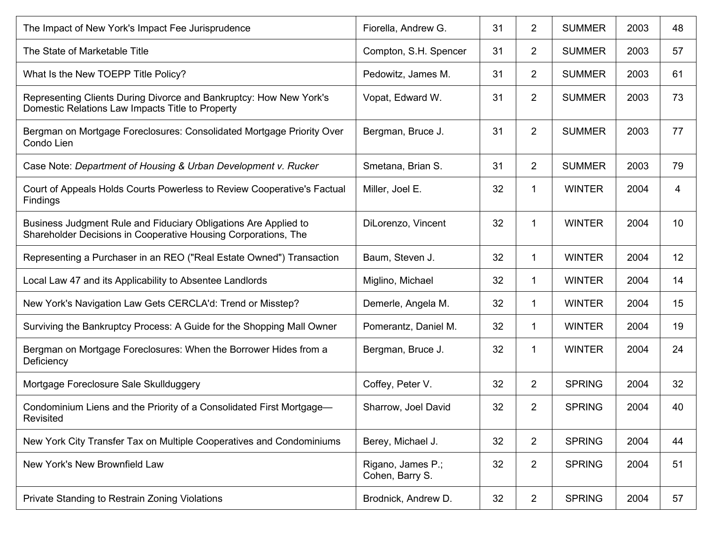| The Impact of New York's Impact Fee Jurisprudence                                                                                 | Fiorella, Andrew G.                  | 31 | $\overline{2}$ | <b>SUMMER</b> | 2003 | 48              |
|-----------------------------------------------------------------------------------------------------------------------------------|--------------------------------------|----|----------------|---------------|------|-----------------|
| The State of Marketable Title                                                                                                     | Compton, S.H. Spencer                | 31 | $\overline{2}$ | <b>SUMMER</b> | 2003 | 57              |
| What Is the New TOEPP Title Policy?                                                                                               | Pedowitz, James M.                   | 31 | $\overline{2}$ | <b>SUMMER</b> | 2003 | 61              |
| Representing Clients During Divorce and Bankruptcy: How New York's<br>Domestic Relations Law Impacts Title to Property            | Vopat, Edward W.                     | 31 | $\overline{2}$ | <b>SUMMER</b> | 2003 | 73              |
| Bergman on Mortgage Foreclosures: Consolidated Mortgage Priority Over<br>Condo Lien                                               | Bergman, Bruce J.                    | 31 | $\overline{2}$ | <b>SUMMER</b> | 2003 | 77              |
| Case Note: Department of Housing & Urban Development v. Rucker                                                                    | Smetana, Brian S.                    | 31 | $\overline{2}$ | <b>SUMMER</b> | 2003 | 79              |
| Court of Appeals Holds Courts Powerless to Review Cooperative's Factual<br><b>Findings</b>                                        | Miller, Joel E.                      | 32 | 1              | <b>WINTER</b> | 2004 | 4               |
| Business Judgment Rule and Fiduciary Obligations Are Applied to<br>Shareholder Decisions in Cooperative Housing Corporations, The | DiLorenzo, Vincent                   | 32 | 1              | <b>WINTER</b> | 2004 | 10 <sup>1</sup> |
| Representing a Purchaser in an REO ("Real Estate Owned") Transaction                                                              | Baum, Steven J.                      | 32 | 1              | <b>WINTER</b> | 2004 | 12              |
| Local Law 47 and its Applicability to Absentee Landlords                                                                          | Miglino, Michael                     | 32 | 1              | <b>WINTER</b> | 2004 | 14              |
| New York's Navigation Law Gets CERCLA'd: Trend or Misstep?                                                                        | Demerle, Angela M.                   | 32 | 1              | <b>WINTER</b> | 2004 | 15              |
| Surviving the Bankruptcy Process: A Guide for the Shopping Mall Owner                                                             | Pomerantz, Daniel M.                 | 32 | 1              | <b>WINTER</b> | 2004 | 19              |
| Bergman on Mortgage Foreclosures: When the Borrower Hides from a<br>Deficiency                                                    | Bergman, Bruce J.                    | 32 | 1              | <b>WINTER</b> | 2004 | 24              |
| Mortgage Foreclosure Sale Skullduggery                                                                                            | Coffey, Peter V.                     | 32 | 2              | <b>SPRING</b> | 2004 | 32              |
| Condominium Liens and the Priority of a Consolidated First Mortgage-<br>Revisited                                                 | Sharrow, Joel David                  | 32 | $\overline{2}$ | <b>SPRING</b> | 2004 | 40              |
| New York City Transfer Tax on Multiple Cooperatives and Condominiums                                                              | Berey, Michael J.                    | 32 | $\overline{2}$ | <b>SPRING</b> | 2004 | 44              |
| New York's New Brownfield Law                                                                                                     | Rigano, James P.;<br>Cohen, Barry S. | 32 | $\overline{2}$ | <b>SPRING</b> | 2004 | 51              |
| Private Standing to Restrain Zoning Violations                                                                                    | Brodnick, Andrew D.                  | 32 | $\overline{2}$ | <b>SPRING</b> | 2004 | 57              |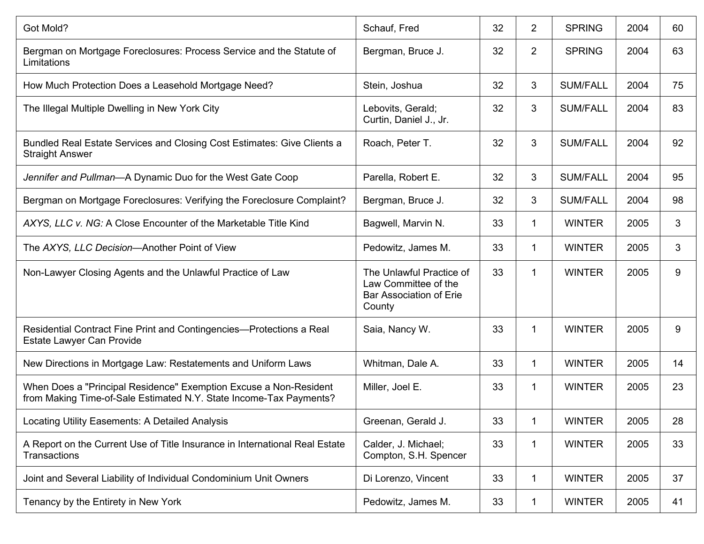| Got Mold?                                                                                                                               | Schauf, Fred                                                                                 | 32 | $\overline{2}$ | <b>SPRING</b>   | 2004 | 60 |
|-----------------------------------------------------------------------------------------------------------------------------------------|----------------------------------------------------------------------------------------------|----|----------------|-----------------|------|----|
| Bergman on Mortgage Foreclosures: Process Service and the Statute of<br>Limitations                                                     | Bergman, Bruce J.                                                                            | 32 | $\overline{2}$ | <b>SPRING</b>   | 2004 | 63 |
| How Much Protection Does a Leasehold Mortgage Need?                                                                                     | Stein, Joshua                                                                                | 32 | 3              | <b>SUM/FALL</b> | 2004 | 75 |
| The Illegal Multiple Dwelling in New York City                                                                                          | Lebovits, Gerald;<br>Curtin, Daniel J., Jr.                                                  | 32 | 3              | <b>SUM/FALL</b> | 2004 | 83 |
| Bundled Real Estate Services and Closing Cost Estimates: Give Clients a<br><b>Straight Answer</b>                                       | Roach, Peter T.                                                                              | 32 | 3              | <b>SUM/FALL</b> | 2004 | 92 |
| Jennifer and Pullman—A Dynamic Duo for the West Gate Coop                                                                               | Parella, Robert E.                                                                           | 32 | 3              | <b>SUM/FALL</b> | 2004 | 95 |
| Bergman on Mortgage Foreclosures: Verifying the Foreclosure Complaint?                                                                  | Bergman, Bruce J.                                                                            | 32 | 3              | <b>SUM/FALL</b> | 2004 | 98 |
| AXYS, LLC v. NG: A Close Encounter of the Marketable Title Kind                                                                         | Bagwell, Marvin N.                                                                           | 33 |                | <b>WINTER</b>   | 2005 | 3  |
| The AXYS, LLC Decision-Another Point of View                                                                                            | Pedowitz, James M.                                                                           | 33 |                | <b>WINTER</b>   | 2005 | 3  |
| Non-Lawyer Closing Agents and the Unlawful Practice of Law                                                                              | The Unlawful Practice of<br>Law Committee of the<br><b>Bar Association of Erie</b><br>County | 33 |                | <b>WINTER</b>   | 2005 | 9  |
| Residential Contract Fine Print and Contingencies—Protections a Real<br>Estate Lawyer Can Provide                                       | Saia, Nancy W.                                                                               | 33 |                | <b>WINTER</b>   | 2005 | 9  |
| New Directions in Mortgage Law: Restatements and Uniform Laws                                                                           | Whitman, Dale A.                                                                             | 33 |                | <b>WINTER</b>   | 2005 | 14 |
| When Does a "Principal Residence" Exemption Excuse a Non-Resident<br>from Making Time-of-Sale Estimated N.Y. State Income-Tax Payments? | Miller, Joel E.                                                                              | 33 |                | <b>WINTER</b>   | 2005 | 23 |
| Locating Utility Easements: A Detailed Analysis                                                                                         | Greenan, Gerald J.                                                                           | 33 |                | <b>WINTER</b>   | 2005 | 28 |
| A Report on the Current Use of Title Insurance in International Real Estate<br>Transactions                                             | Calder, J. Michael;<br>Compton, S.H. Spencer                                                 | 33 |                | <b>WINTER</b>   | 2005 | 33 |
| Joint and Several Liability of Individual Condominium Unit Owners                                                                       | Di Lorenzo, Vincent                                                                          | 33 |                | <b>WINTER</b>   | 2005 | 37 |
| Tenancy by the Entirety in New York                                                                                                     | Pedowitz, James M.                                                                           | 33 |                | <b>WINTER</b>   | 2005 | 41 |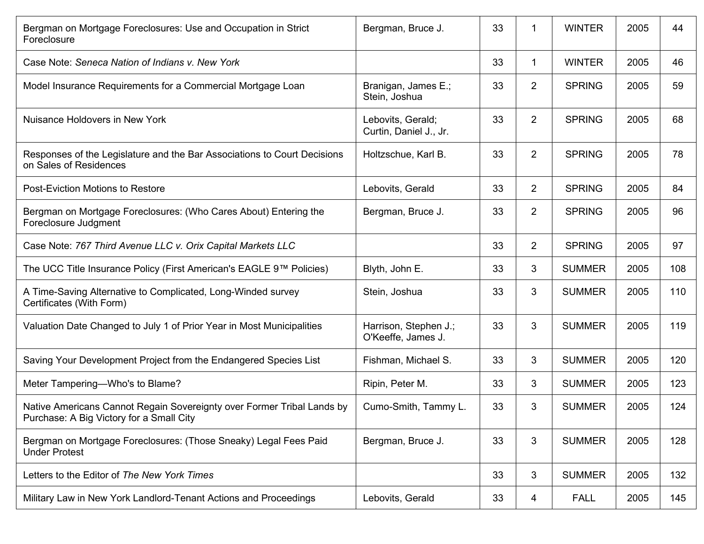| Bergman on Mortgage Foreclosures: Use and Occupation in Strict<br>Foreclosure                                      | Bergman, Bruce J.                           | 33 |                | <b>WINTER</b> | 2005 | 44  |
|--------------------------------------------------------------------------------------------------------------------|---------------------------------------------|----|----------------|---------------|------|-----|
| Case Note: Seneca Nation of Indians v. New York                                                                    |                                             | 33 | 1              | <b>WINTER</b> | 2005 | 46  |
| Model Insurance Requirements for a Commercial Mortgage Loan                                                        | Branigan, James E.;<br>Stein, Joshua        | 33 | $\overline{2}$ | <b>SPRING</b> | 2005 | 59  |
| Nuisance Holdovers in New York                                                                                     | Lebovits, Gerald;<br>Curtin, Daniel J., Jr. | 33 | $\overline{2}$ | <b>SPRING</b> | 2005 | 68  |
| Responses of the Legislature and the Bar Associations to Court Decisions<br>on Sales of Residences                 | Holtzschue, Karl B.                         | 33 | $\overline{2}$ | <b>SPRING</b> | 2005 | 78  |
| <b>Post-Eviction Motions to Restore</b>                                                                            | Lebovits, Gerald                            | 33 | $\overline{2}$ | <b>SPRING</b> | 2005 | 84  |
| Bergman on Mortgage Foreclosures: (Who Cares About) Entering the<br>Foreclosure Judgment                           | Bergman, Bruce J.                           | 33 | $\overline{2}$ | <b>SPRING</b> | 2005 | 96  |
| Case Note: 767 Third Avenue LLC v. Orix Capital Markets LLC                                                        |                                             | 33 | $\overline{2}$ | <b>SPRING</b> | 2005 | 97  |
| The UCC Title Insurance Policy (First American's EAGLE 9™ Policies)                                                | Blyth, John E.                              | 33 | 3              | <b>SUMMER</b> | 2005 | 108 |
| A Time-Saving Alternative to Complicated, Long-Winded survey<br>Certificates (With Form)                           | Stein, Joshua                               | 33 | 3              | <b>SUMMER</b> | 2005 | 110 |
| Valuation Date Changed to July 1 of Prior Year in Most Municipalities                                              | Harrison, Stephen J.;<br>O'Keeffe, James J. | 33 | 3              | <b>SUMMER</b> | 2005 | 119 |
| Saving Your Development Project from the Endangered Species List                                                   | Fishman, Michael S.                         | 33 | 3              | <b>SUMMER</b> | 2005 | 120 |
| Meter Tampering-Who's to Blame?                                                                                    | Ripin, Peter M.                             | 33 | 3              | <b>SUMMER</b> | 2005 | 123 |
| Native Americans Cannot Regain Sovereignty over Former Tribal Lands by<br>Purchase: A Big Victory for a Small City | Cumo-Smith, Tammy L.                        | 33 | 3              | <b>SUMMER</b> | 2005 | 124 |
| Bergman on Mortgage Foreclosures: (Those Sneaky) Legal Fees Paid<br><b>Under Protest</b>                           | Bergman, Bruce J.                           | 33 | 3              | <b>SUMMER</b> | 2005 | 128 |
| Letters to the Editor of The New York Times                                                                        |                                             | 33 | 3              | <b>SUMMER</b> | 2005 | 132 |
| Military Law in New York Landlord-Tenant Actions and Proceedings                                                   | Lebovits, Gerald                            | 33 | 4              | <b>FALL</b>   | 2005 | 145 |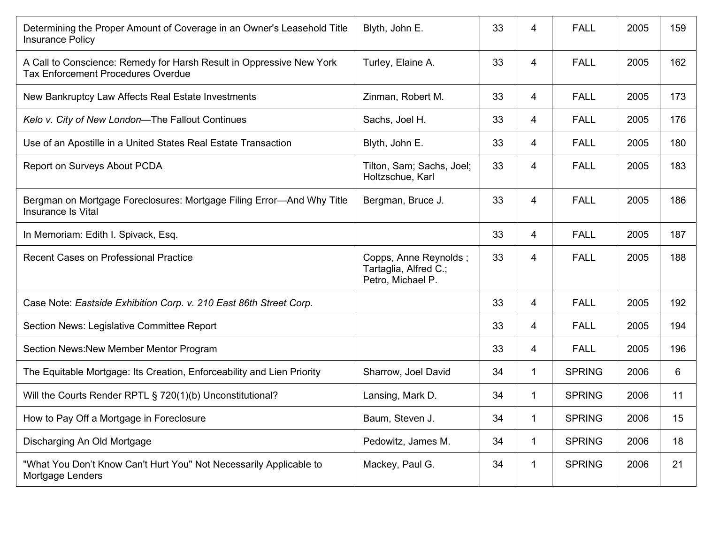| Determining the Proper Amount of Coverage in an Owner's Leasehold Title<br><b>Insurance Policy</b>                | Blyth, John E.                                                      | 33 | 4 | <b>FALL</b>   | 2005 | 159 |
|-------------------------------------------------------------------------------------------------------------------|---------------------------------------------------------------------|----|---|---------------|------|-----|
| A Call to Conscience: Remedy for Harsh Result in Oppressive New York<br><b>Tax Enforcement Procedures Overdue</b> | Turley, Elaine A.                                                   | 33 | 4 | <b>FALL</b>   | 2005 | 162 |
| New Bankruptcy Law Affects Real Estate Investments                                                                | Zinman, Robert M.                                                   | 33 | 4 | <b>FALL</b>   | 2005 | 173 |
| Kelo v. City of New London-The Fallout Continues                                                                  | Sachs, Joel H.                                                      | 33 | 4 | <b>FALL</b>   | 2005 | 176 |
| Use of an Apostille in a United States Real Estate Transaction                                                    | Blyth, John E.                                                      | 33 | 4 | <b>FALL</b>   | 2005 | 180 |
| Report on Surveys About PCDA                                                                                      | Tilton, Sam; Sachs, Joel;<br>Holtzschue, Karl                       | 33 | 4 | <b>FALL</b>   | 2005 | 183 |
| Bergman on Mortgage Foreclosures: Mortgage Filing Error-And Why Title<br>Insurance Is Vital                       | Bergman, Bruce J.                                                   | 33 | 4 | <b>FALL</b>   | 2005 | 186 |
| In Memoriam: Edith I. Spivack, Esq.                                                                               |                                                                     | 33 | 4 | <b>FALL</b>   | 2005 | 187 |
| <b>Recent Cases on Professional Practice</b>                                                                      | Copps, Anne Reynolds;<br>Tartaglia, Alfred C.;<br>Petro, Michael P. | 33 | 4 | <b>FALL</b>   | 2005 | 188 |
| Case Note: Eastside Exhibition Corp. v. 210 East 86th Street Corp.                                                |                                                                     | 33 | 4 | <b>FALL</b>   | 2005 | 192 |
| Section News: Legislative Committee Report                                                                        |                                                                     | 33 | 4 | <b>FALL</b>   | 2005 | 194 |
| Section News: New Member Mentor Program                                                                           |                                                                     | 33 | 4 | <b>FALL</b>   | 2005 | 196 |
| The Equitable Mortgage: Its Creation, Enforceability and Lien Priority                                            | Sharrow, Joel David                                                 | 34 |   | <b>SPRING</b> | 2006 | 6   |
| Will the Courts Render RPTL § 720(1)(b) Unconstitutional?                                                         | Lansing, Mark D.                                                    | 34 |   | <b>SPRING</b> | 2006 | 11  |
| How to Pay Off a Mortgage in Foreclosure                                                                          | Baum, Steven J.                                                     | 34 |   | <b>SPRING</b> | 2006 | 15  |
| Discharging An Old Mortgage                                                                                       | Pedowitz, James M.                                                  | 34 |   | <b>SPRING</b> | 2006 | 18  |
| "What You Don't Know Can't Hurt You" Not Necessarily Applicable to<br>Mortgage Lenders                            | Mackey, Paul G.                                                     | 34 |   | <b>SPRING</b> | 2006 | 21  |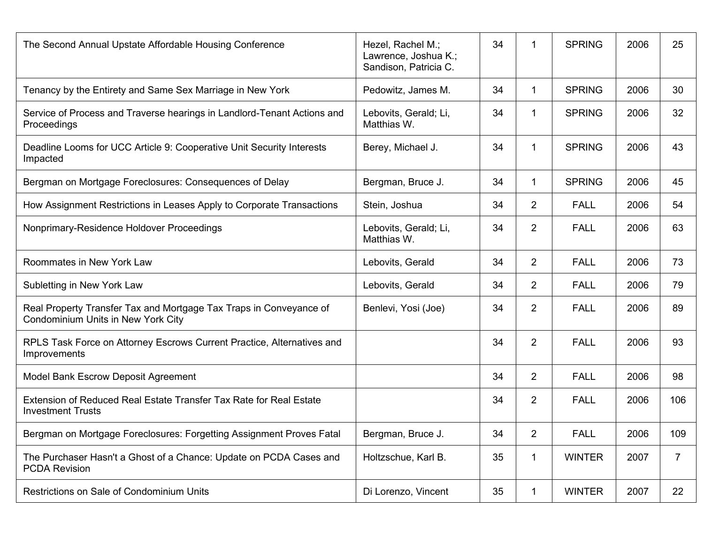| The Second Annual Upstate Affordable Housing Conference                                                  | Hezel, Rachel M.;<br>Lawrence, Joshua K.;<br>Sandison, Patricia C. | 34 | 1              | <b>SPRING</b> | 2006 | 25             |
|----------------------------------------------------------------------------------------------------------|--------------------------------------------------------------------|----|----------------|---------------|------|----------------|
| Tenancy by the Entirety and Same Sex Marriage in New York                                                | Pedowitz, James M.                                                 | 34 | 1              | <b>SPRING</b> | 2006 | 30             |
| Service of Process and Traverse hearings in Landlord-Tenant Actions and<br>Proceedings                   | Lebovits, Gerald; Li,<br>Matthias W.                               | 34 | 1              | <b>SPRING</b> | 2006 | 32             |
| Deadline Looms for UCC Article 9: Cooperative Unit Security Interests<br>Impacted                        | Berey, Michael J.                                                  | 34 | 1              | <b>SPRING</b> | 2006 | 43             |
| Bergman on Mortgage Foreclosures: Consequences of Delay                                                  | Bergman, Bruce J.                                                  | 34 | 1.             | <b>SPRING</b> | 2006 | 45             |
| How Assignment Restrictions in Leases Apply to Corporate Transactions                                    | Stein, Joshua                                                      | 34 | 2              | <b>FALL</b>   | 2006 | 54             |
| Nonprimary-Residence Holdover Proceedings                                                                | Lebovits, Gerald; Li,<br>Matthias W.                               | 34 | $\overline{2}$ | <b>FALL</b>   | 2006 | 63             |
| Roommates in New York Law                                                                                | Lebovits, Gerald                                                   | 34 | $\overline{2}$ | <b>FALL</b>   | 2006 | 73             |
| Subletting in New York Law                                                                               | Lebovits, Gerald                                                   | 34 | $\overline{2}$ | <b>FALL</b>   | 2006 | 79             |
| Real Property Transfer Tax and Mortgage Tax Traps in Conveyance of<br>Condominium Units in New York City | Benlevi, Yosi (Joe)                                                | 34 | $\overline{2}$ | <b>FALL</b>   | 2006 | 89             |
| RPLS Task Force on Attorney Escrows Current Practice, Alternatives and<br>Improvements                   |                                                                    | 34 | $\overline{2}$ | <b>FALL</b>   | 2006 | 93             |
| Model Bank Escrow Deposit Agreement                                                                      |                                                                    | 34 | $\overline{2}$ | <b>FALL</b>   | 2006 | 98             |
| Extension of Reduced Real Estate Transfer Tax Rate for Real Estate<br><b>Investment Trusts</b>           |                                                                    | 34 | 2              | <b>FALL</b>   | 2006 | 106            |
| Bergman on Mortgage Foreclosures: Forgetting Assignment Proves Fatal                                     | Bergman, Bruce J.                                                  | 34 | $\overline{2}$ | <b>FALL</b>   | 2006 | 109            |
| The Purchaser Hasn't a Ghost of a Chance: Update on PCDA Cases and<br><b>PCDA Revision</b>               | Holtzschue, Karl B.                                                | 35 | 1              | <b>WINTER</b> | 2007 | $\overline{7}$ |
| Restrictions on Sale of Condominium Units                                                                | Di Lorenzo, Vincent                                                | 35 | 1              | <b>WINTER</b> | 2007 | 22             |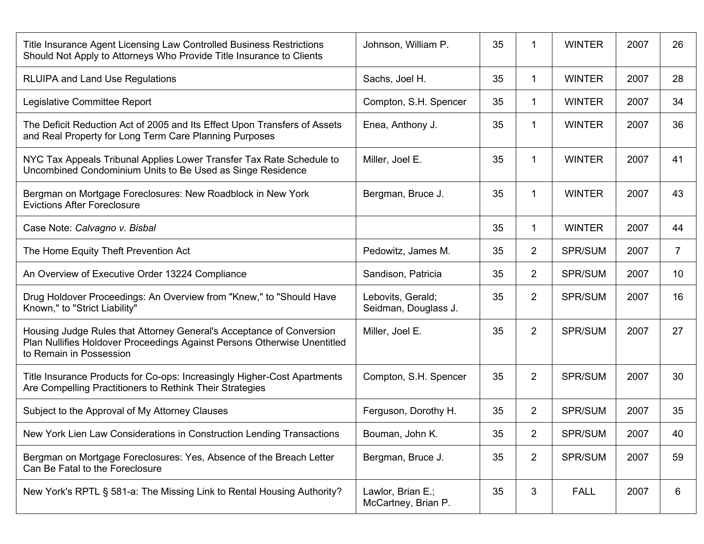| Title Insurance Agent Licensing Law Controlled Business Restrictions<br>Should Not Apply to Attorneys Who Provide Title Insurance to Clients                                | Johnson, William P.                       | 35 |                | <b>WINTER</b> | 2007 | 26             |
|-----------------------------------------------------------------------------------------------------------------------------------------------------------------------------|-------------------------------------------|----|----------------|---------------|------|----------------|
| <b>RLUIPA and Land Use Regulations</b>                                                                                                                                      | Sachs, Joel H.                            | 35 |                | <b>WINTER</b> | 2007 | 28             |
| Legislative Committee Report                                                                                                                                                | Compton, S.H. Spencer                     | 35 |                | <b>WINTER</b> | 2007 | 34             |
| The Deficit Reduction Act of 2005 and Its Effect Upon Transfers of Assets<br>and Real Property for Long Term Care Planning Purposes                                         | Enea, Anthony J.                          | 35 |                | <b>WINTER</b> | 2007 | 36             |
| NYC Tax Appeals Tribunal Applies Lower Transfer Tax Rate Schedule to<br>Uncombined Condominium Units to Be Used as Singe Residence                                          | Miller, Joel E.                           | 35 |                | <b>WINTER</b> | 2007 | 41             |
| Bergman on Mortgage Foreclosures: New Roadblock in New York<br><b>Evictions After Foreclosure</b>                                                                           | Bergman, Bruce J.                         | 35 |                | <b>WINTER</b> | 2007 | 43             |
| Case Note: Calvagno v. Bisbal                                                                                                                                               |                                           | 35 |                | <b>WINTER</b> | 2007 | 44             |
| The Home Equity Theft Prevention Act                                                                                                                                        | Pedowitz, James M.                        | 35 | $\overline{2}$ | SPR/SUM       | 2007 | $\overline{7}$ |
| An Overview of Executive Order 13224 Compliance                                                                                                                             | Sandison, Patricia                        | 35 | $\overline{2}$ | SPR/SUM       | 2007 | 10             |
| Drug Holdover Proceedings: An Overview from "Knew," to "Should Have<br>Known," to "Strict Liability"                                                                        | Lebovits, Gerald;<br>Seidman, Douglass J. | 35 | 2              | SPR/SUM       | 2007 | 16             |
| Housing Judge Rules that Attorney General's Acceptance of Conversion<br>Plan Nullifies Holdover Proceedings Against Persons Otherwise Unentitled<br>to Remain in Possession | Miller, Joel E.                           | 35 | $\overline{2}$ | SPR/SUM       | 2007 | 27             |
| Title Insurance Products for Co-ops: Increasingly Higher-Cost Apartments<br>Are Compelling Practitioners to Rethink Their Strategies                                        | Compton, S.H. Spencer                     | 35 | $\overline{2}$ | SPR/SUM       | 2007 | 30             |
| Subject to the Approval of My Attorney Clauses                                                                                                                              | Ferguson, Dorothy H.                      | 35 | $\overline{2}$ | SPR/SUM       | 2007 | 35             |
| New York Lien Law Considerations in Construction Lending Transactions                                                                                                       | Bouman, John K.                           | 35 | $\overline{2}$ | SPR/SUM       | 2007 | 40             |
| Bergman on Mortgage Foreclosures: Yes, Absence of the Breach Letter<br>Can Be Fatal to the Foreclosure                                                                      | Bergman, Bruce J.                         | 35 | $\overline{2}$ | SPR/SUM       | 2007 | 59             |
| New York's RPTL § 581-a: The Missing Link to Rental Housing Authority?                                                                                                      | Lawlor, Brian E.;<br>McCartney, Brian P.  | 35 | 3              | <b>FALL</b>   | 2007 | 6              |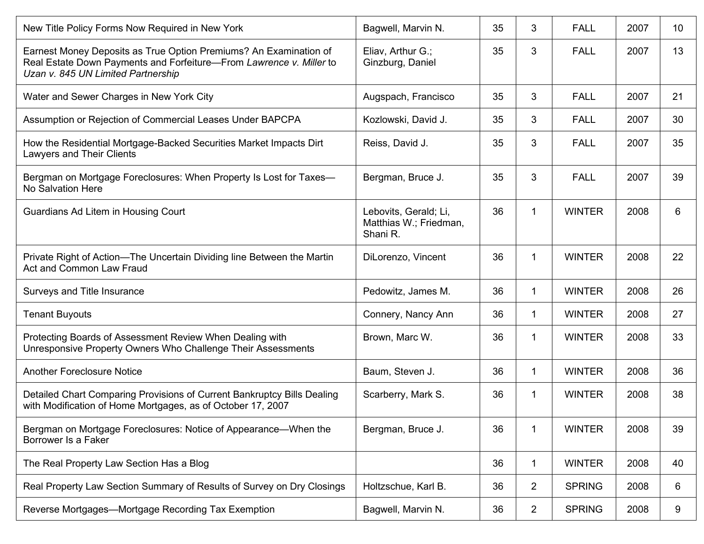| New Title Policy Forms Now Required in New York                                                                                                                                | Bagwell, Marvin N.                                          | 35 | 3              | <b>FALL</b>   | 2007 | 10 |
|--------------------------------------------------------------------------------------------------------------------------------------------------------------------------------|-------------------------------------------------------------|----|----------------|---------------|------|----|
| Earnest Money Deposits as True Option Premiums? An Examination of<br>Real Estate Down Payments and Forfeiture-From Lawrence v. Miller to<br>Uzan v. 845 UN Limited Partnership | Eliav, Arthur G.;<br>Ginzburg, Daniel                       | 35 | 3              | <b>FALL</b>   | 2007 | 13 |
| Water and Sewer Charges in New York City                                                                                                                                       | Augspach, Francisco                                         | 35 | 3              | <b>FALL</b>   | 2007 | 21 |
| Assumption or Rejection of Commercial Leases Under BAPCPA                                                                                                                      | Kozlowski, David J.                                         | 35 | 3              | <b>FALL</b>   | 2007 | 30 |
| How the Residential Mortgage-Backed Securities Market Impacts Dirt<br><b>Lawyers and Their Clients</b>                                                                         | Reiss, David J.                                             | 35 | 3              | <b>FALL</b>   | 2007 | 35 |
| Bergman on Mortgage Foreclosures: When Property Is Lost for Taxes-<br>No Salvation Here                                                                                        | Bergman, Bruce J.                                           | 35 | 3              | <b>FALL</b>   | 2007 | 39 |
| Guardians Ad Litem in Housing Court                                                                                                                                            | Lebovits, Gerald; Li,<br>Matthias W.; Friedman,<br>Shani R. | 36 | 1              | <b>WINTER</b> | 2008 | 6  |
| Private Right of Action-The Uncertain Dividing line Between the Martin<br>Act and Common Law Fraud                                                                             | DiLorenzo, Vincent                                          | 36 | 1              | <b>WINTER</b> | 2008 | 22 |
| Surveys and Title Insurance                                                                                                                                                    | Pedowitz, James M.                                          | 36 | 1              | <b>WINTER</b> | 2008 | 26 |
| <b>Tenant Buyouts</b>                                                                                                                                                          | Connery, Nancy Ann                                          | 36 | 1              | <b>WINTER</b> | 2008 | 27 |
| Protecting Boards of Assessment Review When Dealing with<br>Unresponsive Property Owners Who Challenge Their Assessments                                                       | Brown, Marc W.                                              | 36 | 1              | <b>WINTER</b> | 2008 | 33 |
| <b>Another Foreclosure Notice</b>                                                                                                                                              | Baum, Steven J.                                             | 36 | 1.             | <b>WINTER</b> | 2008 | 36 |
| Detailed Chart Comparing Provisions of Current Bankruptcy Bills Dealing<br>with Modification of Home Mortgages, as of October 17, 2007                                         | Scarberry, Mark S.                                          | 36 |                | <b>WINTER</b> | 2008 | 38 |
| Bergman on Mortgage Foreclosures: Notice of Appearance—When the<br>Borrower Is a Faker                                                                                         | Bergman, Bruce J.                                           | 36 |                | <b>WINTER</b> | 2008 | 39 |
| The Real Property Law Section Has a Blog                                                                                                                                       |                                                             | 36 | 1              | <b>WINTER</b> | 2008 | 40 |
| Real Property Law Section Summary of Results of Survey on Dry Closings                                                                                                         | Holtzschue, Karl B.                                         | 36 | $\overline{2}$ | <b>SPRING</b> | 2008 | 6  |
| Reverse Mortgages-Mortgage Recording Tax Exemption                                                                                                                             | Bagwell, Marvin N.                                          | 36 | $\overline{2}$ | <b>SPRING</b> | 2008 | 9  |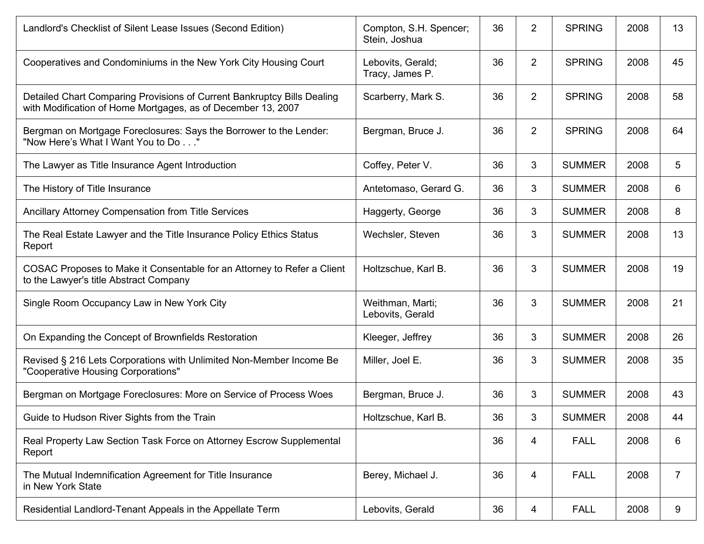| Landlord's Checklist of Silent Lease Issues (Second Edition)                                                                            | Compton, S.H. Spencer;<br>Stein, Joshua | 36 | $\overline{2}$ | <b>SPRING</b> | 2008 | 13             |
|-----------------------------------------------------------------------------------------------------------------------------------------|-----------------------------------------|----|----------------|---------------|------|----------------|
| Cooperatives and Condominiums in the New York City Housing Court                                                                        | Lebovits, Gerald;<br>Tracy, James P.    | 36 | $\overline{2}$ | <b>SPRING</b> | 2008 | 45             |
| Detailed Chart Comparing Provisions of Current Bankruptcy Bills Dealing<br>with Modification of Home Mortgages, as of December 13, 2007 | Scarberry, Mark S.                      | 36 | $\overline{2}$ | <b>SPRING</b> | 2008 | 58             |
| Bergman on Mortgage Foreclosures: Says the Borrower to the Lender:<br>"Now Here's What I Want You to Do"                                | Bergman, Bruce J.                       | 36 | $\overline{2}$ | <b>SPRING</b> | 2008 | 64             |
| The Lawyer as Title Insurance Agent Introduction                                                                                        | Coffey, Peter V.                        | 36 | 3              | <b>SUMMER</b> | 2008 | 5              |
| The History of Title Insurance                                                                                                          | Antetomaso, Gerard G.                   | 36 | 3              | <b>SUMMER</b> | 2008 | 6              |
| Ancillary Attorney Compensation from Title Services                                                                                     | Haggerty, George                        | 36 | 3              | <b>SUMMER</b> | 2008 | 8              |
| The Real Estate Lawyer and the Title Insurance Policy Ethics Status<br>Report                                                           | Wechsler, Steven                        | 36 | 3              | <b>SUMMER</b> | 2008 | 13             |
| COSAC Proposes to Make it Consentable for an Attorney to Refer a Client<br>to the Lawyer's title Abstract Company                       | Holtzschue, Karl B.                     | 36 | 3              | <b>SUMMER</b> | 2008 | 19             |
| Single Room Occupancy Law in New York City                                                                                              | Weithman, Marti;<br>Lebovits, Gerald    | 36 | 3              | <b>SUMMER</b> | 2008 | 21             |
| On Expanding the Concept of Brownfields Restoration                                                                                     | Kleeger, Jeffrey                        | 36 | 3              | <b>SUMMER</b> | 2008 | 26             |
| Revised § 216 Lets Corporations with Unlimited Non-Member Income Be<br>"Cooperative Housing Corporations"                               | Miller, Joel E.                         | 36 | 3              | <b>SUMMER</b> | 2008 | 35             |
| Bergman on Mortgage Foreclosures: More on Service of Process Woes                                                                       | Bergman, Bruce J.                       | 36 | 3              | <b>SUMMER</b> | 2008 | 43             |
| Guide to Hudson River Sights from the Train                                                                                             | Holtzschue, Karl B.                     | 36 | 3              | <b>SUMMER</b> | 2008 | 44             |
| Real Property Law Section Task Force on Attorney Escrow Supplemental<br>Report                                                          |                                         | 36 | 4              | <b>FALL</b>   | 2008 | 6              |
| The Mutual Indemnification Agreement for Title Insurance<br>in New York State                                                           | Berey, Michael J.                       | 36 | 4              | <b>FALL</b>   | 2008 | $\overline{7}$ |
| Residential Landlord-Tenant Appeals in the Appellate Term                                                                               | Lebovits, Gerald                        | 36 | 4              | <b>FALL</b>   | 2008 | 9              |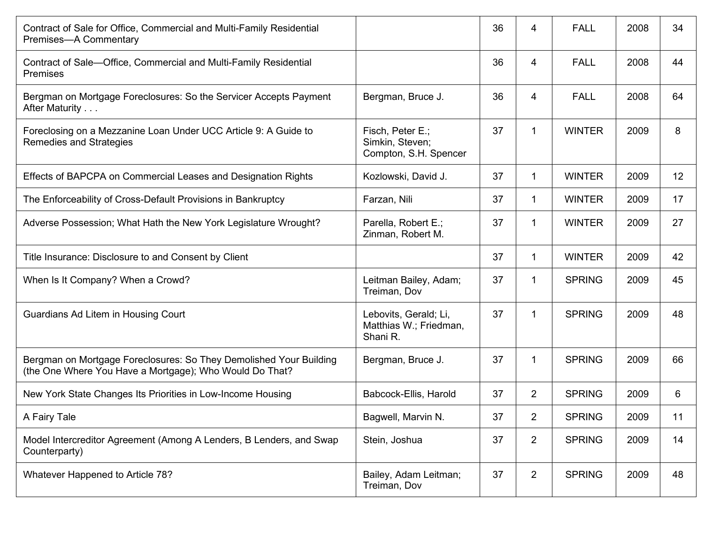| Contract of Sale for Office, Commercial and Multi-Family Residential<br>Premises-A Commentary                                 |                                                              | 36 | 4              | <b>FALL</b>   | 2008 | 34 |
|-------------------------------------------------------------------------------------------------------------------------------|--------------------------------------------------------------|----|----------------|---------------|------|----|
| Contract of Sale-Office, Commercial and Multi-Family Residential<br>Premises                                                  |                                                              | 36 | 4              | <b>FALL</b>   | 2008 | 44 |
| Bergman on Mortgage Foreclosures: So the Servicer Accepts Payment<br>After Maturity                                           | Bergman, Bruce J.                                            | 36 | 4              | <b>FALL</b>   | 2008 | 64 |
| Foreclosing on a Mezzanine Loan Under UCC Article 9: A Guide to<br><b>Remedies and Strategies</b>                             | Fisch, Peter E.;<br>Simkin, Steven;<br>Compton, S.H. Spencer | 37 | 1.             | <b>WINTER</b> | 2009 | 8  |
| Effects of BAPCPA on Commercial Leases and Designation Rights                                                                 | Kozlowski, David J.                                          | 37 | 1              | <b>WINTER</b> | 2009 | 12 |
| The Enforceability of Cross-Default Provisions in Bankruptcy                                                                  | Farzan, Nili                                                 | 37 | 1.             | <b>WINTER</b> | 2009 | 17 |
| Adverse Possession; What Hath the New York Legislature Wrought?                                                               | Parella, Robert E.;<br>Zinman, Robert M.                     | 37 |                | <b>WINTER</b> | 2009 | 27 |
| Title Insurance: Disclosure to and Consent by Client                                                                          |                                                              | 37 | 1              | <b>WINTER</b> | 2009 | 42 |
| When Is It Company? When a Crowd?                                                                                             | Leitman Bailey, Adam;<br>Treiman, Dov                        | 37 | 1              | <b>SPRING</b> | 2009 | 45 |
| Guardians Ad Litem in Housing Court                                                                                           | Lebovits, Gerald; Li,<br>Matthias W.; Friedman,<br>Shani R.  | 37 | 1              | <b>SPRING</b> | 2009 | 48 |
| Bergman on Mortgage Foreclosures: So They Demolished Your Building<br>(the One Where You Have a Mortgage); Who Would Do That? | Bergman, Bruce J.                                            | 37 |                | <b>SPRING</b> | 2009 | 66 |
| New York State Changes Its Priorities in Low-Income Housing                                                                   | Babcock-Ellis, Harold                                        | 37 | $\overline{2}$ | <b>SPRING</b> | 2009 | 6  |
| A Fairy Tale                                                                                                                  | Bagwell, Marvin N.                                           | 37 | 2              | <b>SPRING</b> | 2009 | 11 |
| Model Intercreditor Agreement (Among A Lenders, B Lenders, and Swap<br>Counterparty)                                          | Stein, Joshua                                                | 37 | $\overline{2}$ | <b>SPRING</b> | 2009 | 14 |
| Whatever Happened to Article 78?                                                                                              | Bailey, Adam Leitman;<br>Treiman, Dov                        | 37 | $\overline{2}$ | <b>SPRING</b> | 2009 | 48 |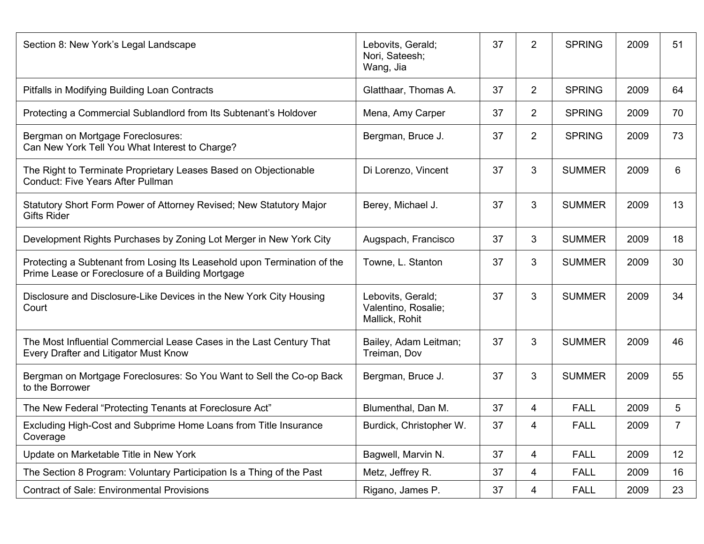| Section 8: New York's Legal Landscape                                                                                         | Lebovits, Gerald;<br>Nori, Sateesh;<br>Wang, Jia           | 37 | $\overline{2}$ | <b>SPRING</b> | 2009 | 51 |
|-------------------------------------------------------------------------------------------------------------------------------|------------------------------------------------------------|----|----------------|---------------|------|----|
| Pitfalls in Modifying Building Loan Contracts                                                                                 | Glatthaar, Thomas A.                                       | 37 | $\overline{2}$ | <b>SPRING</b> | 2009 | 64 |
| Protecting a Commercial Sublandlord from Its Subtenant's Holdover                                                             | Mena, Amy Carper                                           | 37 | $\overline{2}$ | <b>SPRING</b> | 2009 | 70 |
| Bergman on Mortgage Foreclosures:<br>Can New York Tell You What Interest to Charge?                                           | Bergman, Bruce J.                                          | 37 | $\overline{2}$ | <b>SPRING</b> | 2009 | 73 |
| The Right to Terminate Proprietary Leases Based on Objectionable<br><b>Conduct: Five Years After Pullman</b>                  | Di Lorenzo, Vincent                                        | 37 | 3              | <b>SUMMER</b> | 2009 | 6  |
| Statutory Short Form Power of Attorney Revised; New Statutory Major<br><b>Gifts Rider</b>                                     | Berey, Michael J.                                          | 37 | 3              | <b>SUMMER</b> | 2009 | 13 |
| Development Rights Purchases by Zoning Lot Merger in New York City                                                            | Augspach, Francisco                                        | 37 | 3              | <b>SUMMER</b> | 2009 | 18 |
| Protecting a Subtenant from Losing Its Leasehold upon Termination of the<br>Prime Lease or Foreclosure of a Building Mortgage | Towne, L. Stanton                                          | 37 | 3              | <b>SUMMER</b> | 2009 | 30 |
| Disclosure and Disclosure-Like Devices in the New York City Housing<br>Court                                                  | Lebovits, Gerald;<br>Valentino, Rosalie;<br>Mallick, Rohit | 37 | 3              | <b>SUMMER</b> | 2009 | 34 |
| The Most Influential Commercial Lease Cases in the Last Century That<br>Every Drafter and Litigator Must Know                 | Bailey, Adam Leitman;<br>Treiman, Dov                      | 37 | 3              | <b>SUMMER</b> | 2009 | 46 |
| Bergman on Mortgage Foreclosures: So You Want to Sell the Co-op Back<br>to the Borrower                                       | Bergman, Bruce J.                                          | 37 | 3              | <b>SUMMER</b> | 2009 | 55 |
| The New Federal "Protecting Tenants at Foreclosure Act"                                                                       | Blumenthal, Dan M.                                         | 37 | $\overline{4}$ | <b>FALL</b>   | 2009 | 5  |
| Excluding High-Cost and Subprime Home Loans from Title Insurance<br>Coverage                                                  | Burdick, Christopher W.                                    | 37 | 4              | <b>FALL</b>   | 2009 | 7  |
| Update on Marketable Title in New York                                                                                        | Bagwell, Marvin N.                                         | 37 | 4              | <b>FALL</b>   | 2009 | 12 |
| The Section 8 Program: Voluntary Participation Is a Thing of the Past                                                         | Metz, Jeffrey R.                                           | 37 | 4              | <b>FALL</b>   | 2009 | 16 |
| <b>Contract of Sale: Environmental Provisions</b>                                                                             | Rigano, James P.                                           | 37 | 4              | <b>FALL</b>   | 2009 | 23 |
|                                                                                                                               |                                                            |    |                |               |      |    |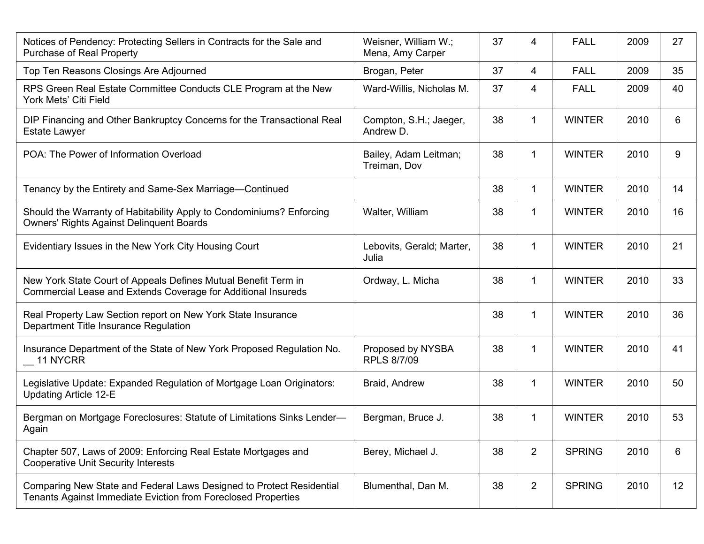| Notices of Pendency: Protecting Sellers in Contracts for the Sale and<br><b>Purchase of Real Property</b>                             | Weisner, William W.;<br>Mena, Amy Carper | 37 | 4              | <b>FALL</b>   | 2009 | 27 |
|---------------------------------------------------------------------------------------------------------------------------------------|------------------------------------------|----|----------------|---------------|------|----|
| Top Ten Reasons Closings Are Adjourned                                                                                                | Brogan, Peter                            | 37 | 4              | <b>FALL</b>   | 2009 | 35 |
| RPS Green Real Estate Committee Conducts CLE Program at the New<br>York Mets' Citi Field                                              | Ward-Willis, Nicholas M.                 | 37 | 4              | <b>FALL</b>   | 2009 | 40 |
| DIP Financing and Other Bankruptcy Concerns for the Transactional Real<br>Estate Lawyer                                               | Compton, S.H.; Jaeger,<br>Andrew D.      | 38 | 1              | <b>WINTER</b> | 2010 | 6  |
| POA: The Power of Information Overload                                                                                                | Bailey, Adam Leitman;<br>Treiman, Dov    | 38 | 1              | <b>WINTER</b> | 2010 | 9  |
| Tenancy by the Entirety and Same-Sex Marriage-Continued                                                                               |                                          | 38 | 1              | <b>WINTER</b> | 2010 | 14 |
| Should the Warranty of Habitability Apply to Condominiums? Enforcing<br><b>Owners' Rights Against Delinquent Boards</b>               | Walter, William                          | 38 | 1              | <b>WINTER</b> | 2010 | 16 |
| Evidentiary Issues in the New York City Housing Court                                                                                 | Lebovits, Gerald; Marter,<br>Julia       | 38 | 1              | <b>WINTER</b> | 2010 | 21 |
| New York State Court of Appeals Defines Mutual Benefit Term in<br>Commercial Lease and Extends Coverage for Additional Insureds       | Ordway, L. Micha                         | 38 | 1              | <b>WINTER</b> | 2010 | 33 |
| Real Property Law Section report on New York State Insurance<br>Department Title Insurance Regulation                                 |                                          | 38 | 1              | <b>WINTER</b> | 2010 | 36 |
| Insurance Department of the State of New York Proposed Regulation No.<br>$\_$ 11 NYCRR                                                | Proposed by NYSBA<br>RPLS 8/7/09         | 38 | 1              | <b>WINTER</b> | 2010 | 41 |
| Legislative Update: Expanded Regulation of Mortgage Loan Originators:<br><b>Updating Article 12-E</b>                                 | Braid, Andrew                            | 38 | 1              | <b>WINTER</b> | 2010 | 50 |
| Bergman on Mortgage Foreclosures: Statute of Limitations Sinks Lender-<br>Again                                                       | Bergman, Bruce J.                        | 38 |                | <b>WINTER</b> | 2010 | 53 |
| Chapter 507, Laws of 2009: Enforcing Real Estate Mortgages and<br><b>Cooperative Unit Security Interests</b>                          | Berey, Michael J.                        | 38 | $\overline{2}$ | <b>SPRING</b> | 2010 | 6  |
| Comparing New State and Federal Laws Designed to Protect Residential<br>Tenants Against Immediate Eviction from Foreclosed Properties | Blumenthal, Dan M.                       | 38 | $\overline{2}$ | <b>SPRING</b> | 2010 | 12 |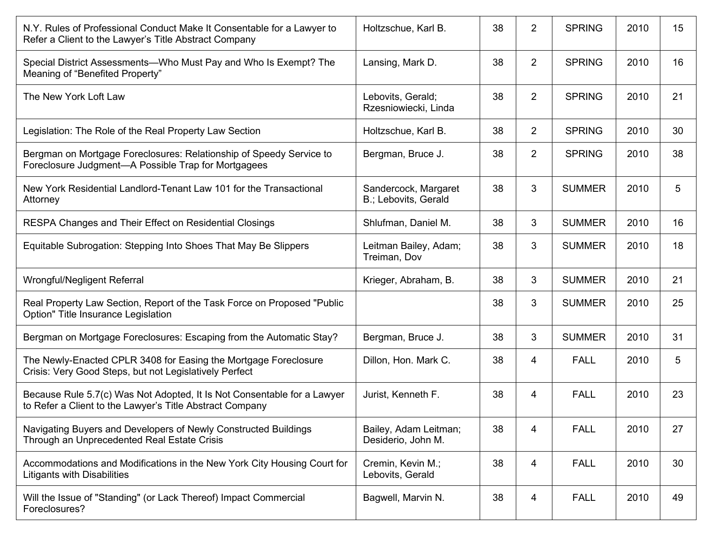| N.Y. Rules of Professional Conduct Make It Consentable for a Lawyer to<br>Refer a Client to the Lawyer's Title Abstract Company     | Holtzschue, Karl B.                          | 38 | $\overline{2}$ | <b>SPRING</b> | 2010 | 15 |
|-------------------------------------------------------------------------------------------------------------------------------------|----------------------------------------------|----|----------------|---------------|------|----|
| Special District Assessments-Who Must Pay and Who Is Exempt? The<br>Meaning of "Benefited Property"                                 | Lansing, Mark D.                             | 38 | $\overline{2}$ | <b>SPRING</b> | 2010 | 16 |
| The New York Loft Law                                                                                                               | Lebovits, Gerald;<br>Rzesniowiecki, Linda    | 38 | $\overline{2}$ | <b>SPRING</b> | 2010 | 21 |
| Legislation: The Role of the Real Property Law Section                                                                              | Holtzschue, Karl B.                          | 38 | $\overline{2}$ | <b>SPRING</b> | 2010 | 30 |
| Bergman on Mortgage Foreclosures: Relationship of Speedy Service to<br>Foreclosure Judgment-A Possible Trap for Mortgagees          | Bergman, Bruce J.                            | 38 | $\overline{2}$ | <b>SPRING</b> | 2010 | 38 |
| New York Residential Landlord-Tenant Law 101 for the Transactional<br>Attorney                                                      | Sandercock, Margaret<br>B.; Lebovits, Gerald | 38 | 3              | <b>SUMMER</b> | 2010 | 5  |
| RESPA Changes and Their Effect on Residential Closings                                                                              | Shlufman, Daniel M.                          | 38 | 3              | <b>SUMMER</b> | 2010 | 16 |
| Equitable Subrogation: Stepping Into Shoes That May Be Slippers                                                                     | Leitman Bailey, Adam;<br>Treiman, Dov        | 38 | 3              | <b>SUMMER</b> | 2010 | 18 |
|                                                                                                                                     |                                              |    |                |               |      |    |
| Wrongful/Negligent Referral                                                                                                         | Krieger, Abraham, B.                         | 38 | 3              | <b>SUMMER</b> | 2010 | 21 |
| Real Property Law Section, Report of the Task Force on Proposed "Public<br>Option" Title Insurance Legislation                      |                                              | 38 | 3              | <b>SUMMER</b> | 2010 | 25 |
| Bergman on Mortgage Foreclosures: Escaping from the Automatic Stay?                                                                 | Bergman, Bruce J.                            | 38 | 3              | <b>SUMMER</b> | 2010 | 31 |
| The Newly-Enacted CPLR 3408 for Easing the Mortgage Foreclosure<br>Crisis: Very Good Steps, but not Legislatively Perfect           | Dillon, Hon. Mark C.                         | 38 | 4              | <b>FALL</b>   | 2010 | 5  |
| Because Rule 5.7(c) Was Not Adopted, It Is Not Consentable for a Lawyer<br>to Refer a Client to the Lawyer's Title Abstract Company | Jurist, Kenneth F.                           | 38 | 4              | <b>FALL</b>   | 2010 | 23 |
| Navigating Buyers and Developers of Newly Constructed Buildings<br>Through an Unprecedented Real Estate Crisis                      | Bailey, Adam Leitman;<br>Desiderio, John M.  | 38 | 4              | <b>FALL</b>   | 2010 | 27 |
| Accommodations and Modifications in the New York City Housing Court for<br><b>Litigants with Disabilities</b>                       | Cremin, Kevin M.;<br>Lebovits, Gerald        | 38 | 4              | <b>FALL</b>   | 2010 | 30 |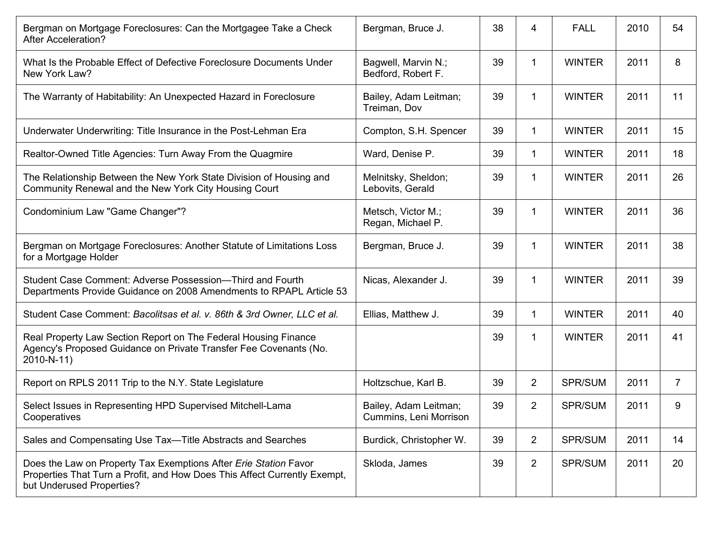| Bergman on Mortgage Foreclosures: Can the Mortgagee Take a Check<br><b>After Acceleration?</b>                                                                             | Bergman, Bruce J.                               | 38 | 4              | <b>FALL</b>   | 2010 | 54             |
|----------------------------------------------------------------------------------------------------------------------------------------------------------------------------|-------------------------------------------------|----|----------------|---------------|------|----------------|
| What Is the Probable Effect of Defective Foreclosure Documents Under<br>New York Law?                                                                                      | Bagwell, Marvin N.;<br>Bedford, Robert F.       | 39 |                | <b>WINTER</b> | 2011 | 8              |
| The Warranty of Habitability: An Unexpected Hazard in Foreclosure                                                                                                          | Bailey, Adam Leitman;<br>Treiman, Dov           | 39 | 1              | <b>WINTER</b> | 2011 | 11             |
| Underwater Underwriting: Title Insurance in the Post-Lehman Era                                                                                                            | Compton, S.H. Spencer                           | 39 | 1              | <b>WINTER</b> | 2011 | 15             |
| Realtor-Owned Title Agencies: Turn Away From the Quagmire                                                                                                                  | Ward, Denise P.                                 | 39 | 1              | <b>WINTER</b> | 2011 | 18             |
| The Relationship Between the New York State Division of Housing and<br>Community Renewal and the New York City Housing Court                                               | Melnitsky, Sheldon;<br>Lebovits, Gerald         | 39 | 1              | <b>WINTER</b> | 2011 | 26             |
| Condominium Law "Game Changer"?                                                                                                                                            | Metsch, Victor M.;<br>Regan, Michael P.         | 39 |                | <b>WINTER</b> | 2011 | 36             |
| Bergman on Mortgage Foreclosures: Another Statute of Limitations Loss<br>for a Mortgage Holder                                                                             | Bergman, Bruce J.                               | 39 | 1              | <b>WINTER</b> | 2011 | 38             |
| Student Case Comment: Adverse Possession-Third and Fourth<br>Departments Provide Guidance on 2008 Amendments to RPAPL Article 53                                           | Nicas, Alexander J.                             | 39 | 1              | <b>WINTER</b> | 2011 | 39             |
| Student Case Comment: Bacolitsas et al. v. 86th & 3rd Owner, LLC et al.                                                                                                    | Ellias, Matthew J.                              | 39 | 1              | <b>WINTER</b> | 2011 | 40             |
| Real Property Law Section Report on The Federal Housing Finance<br>Agency's Proposed Guidance on Private Transfer Fee Covenants (No.<br>2010-N-11)                         |                                                 | 39 | 1              | <b>WINTER</b> | 2011 | 41             |
| Report on RPLS 2011 Trip to the N.Y. State Legislature                                                                                                                     | Holtzschue, Karl B.                             | 39 | $\overline{2}$ | SPR/SUM       | 2011 | $\overline{7}$ |
| Select Issues in Representing HPD Supervised Mitchell-Lama<br>Cooperatives                                                                                                 | Bailey, Adam Leitman;<br>Cummins, Leni Morrison | 39 | $\overline{2}$ | SPR/SUM       | 2011 | 9              |
| Sales and Compensating Use Tax-Title Abstracts and Searches                                                                                                                | Burdick, Christopher W.                         | 39 | $\overline{2}$ | SPR/SUM       | 2011 | 14             |
| Does the Law on Property Tax Exemptions After Erie Station Favor<br>Properties That Turn a Profit, and How Does This Affect Currently Exempt,<br>but Underused Properties? | Skloda, James                                   | 39 | $\overline{2}$ | SPR/SUM       | 2011 | 20             |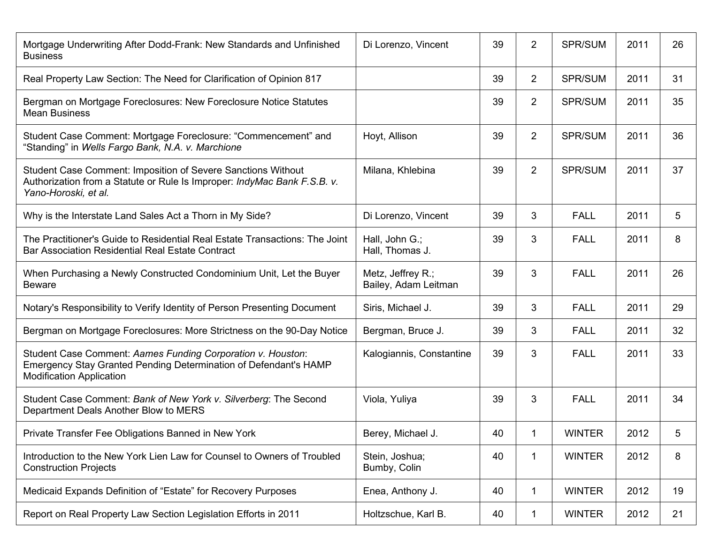| Mortgage Underwriting After Dodd-Frank: New Standards and Unfinished<br><b>Business</b>                                                                            | Di Lorenzo, Vincent                       | 39 | $\overline{2}$ | SPR/SUM       | 2011 | 26 |
|--------------------------------------------------------------------------------------------------------------------------------------------------------------------|-------------------------------------------|----|----------------|---------------|------|----|
| Real Property Law Section: The Need for Clarification of Opinion 817                                                                                               |                                           | 39 | $\overline{2}$ | SPR/SUM       | 2011 | 31 |
| Bergman on Mortgage Foreclosures: New Foreclosure Notice Statutes<br><b>Mean Business</b>                                                                          |                                           | 39 | $\overline{2}$ | SPR/SUM       | 2011 | 35 |
| Student Case Comment: Mortgage Foreclosure: "Commencement" and<br>"Standing" in Wells Fargo Bank, N.A. v. Marchione                                                | Hoyt, Allison                             | 39 | $\overline{2}$ | SPR/SUM       | 2011 | 36 |
| Student Case Comment: Imposition of Severe Sanctions Without<br>Authorization from a Statute or Rule Is Improper: IndyMac Bank F.S.B. v.<br>Yano-Horoski, et al.   | Milana, Khlebina                          | 39 | $\overline{2}$ | SPR/SUM       | 2011 | 37 |
| Why is the Interstate Land Sales Act a Thorn in My Side?                                                                                                           | Di Lorenzo, Vincent                       | 39 | 3              | <b>FALL</b>   | 2011 | 5  |
| The Practitioner's Guide to Residential Real Estate Transactions: The Joint<br><b>Bar Association Residential Real Estate Contract</b>                             | Hall, John G.;<br>Hall, Thomas J.         | 39 | 3              | <b>FALL</b>   | 2011 | 8  |
| When Purchasing a Newly Constructed Condominium Unit, Let the Buyer<br><b>Beware</b>                                                                               | Metz, Jeffrey R.;<br>Bailey, Adam Leitman | 39 | 3              | <b>FALL</b>   | 2011 | 26 |
| Notary's Responsibility to Verify Identity of Person Presenting Document                                                                                           | Siris, Michael J.                         | 39 | 3              | <b>FALL</b>   | 2011 | 29 |
| Bergman on Mortgage Foreclosures: More Strictness on the 90-Day Notice                                                                                             | Bergman, Bruce J.                         | 39 | 3              | <b>FALL</b>   | 2011 | 32 |
| Student Case Comment: Aames Funding Corporation v. Houston:<br>Emergency Stay Granted Pending Determination of Defendant's HAMP<br><b>Modification Application</b> | Kalogiannis, Constantine                  | 39 | 3              | <b>FALL</b>   | 2011 | 33 |
| Student Case Comment: Bank of New York v. Silverberg: The Second<br>Department Deals Another Blow to MERS                                                          | Viola, Yuliya                             | 39 | 3              | <b>FALL</b>   | 2011 | 34 |
| Private Transfer Fee Obligations Banned in New York                                                                                                                | Berey, Michael J.                         | 40 | 1              | <b>WINTER</b> | 2012 | 5  |
| Introduction to the New York Lien Law for Counsel to Owners of Troubled<br><b>Construction Projects</b>                                                            | Stein, Joshua;<br>Bumby, Colin            | 40 | 1              | <b>WINTER</b> | 2012 | 8  |
| Medicaid Expands Definition of "Estate" for Recovery Purposes                                                                                                      | Enea, Anthony J.                          | 40 | 1              | <b>WINTER</b> | 2012 | 19 |
| Report on Real Property Law Section Legislation Efforts in 2011                                                                                                    | Holtzschue, Karl B.                       | 40 | 1              | <b>WINTER</b> | 2012 | 21 |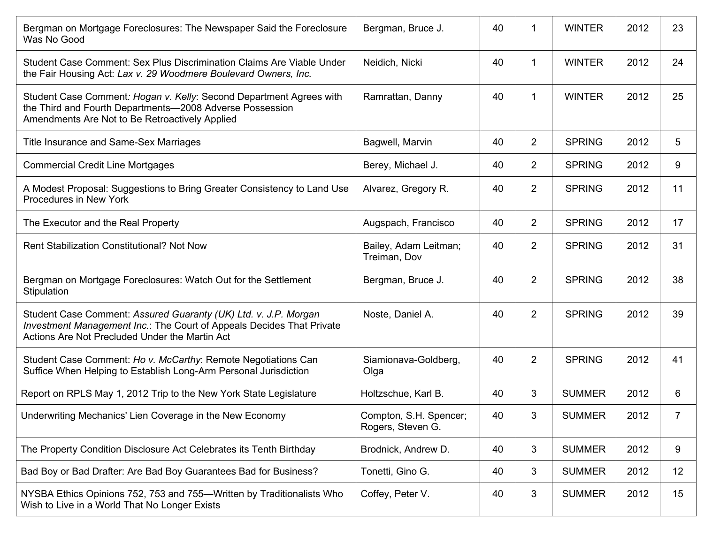| Bergman on Mortgage Foreclosures: The Newspaper Said the Foreclosure<br>Was No Good                                                                                                        | Bergman, Bruce J.                           | 40 | 1              | <b>WINTER</b> | 2012 | 23             |
|--------------------------------------------------------------------------------------------------------------------------------------------------------------------------------------------|---------------------------------------------|----|----------------|---------------|------|----------------|
| Student Case Comment: Sex Plus Discrimination Claims Are Viable Under<br>the Fair Housing Act: Lax v. 29 Woodmere Boulevard Owners, Inc.                                                   | Neidich, Nicki                              | 40 | 1              | <b>WINTER</b> | 2012 | 24             |
| Student Case Comment: Hogan v. Kelly: Second Department Agrees with<br>the Third and Fourth Departments-2008 Adverse Possession<br>Amendments Are Not to Be Retroactively Applied          | Ramrattan, Danny                            | 40 | 1              | <b>WINTER</b> | 2012 | 25             |
| Title Insurance and Same-Sex Marriages                                                                                                                                                     | Bagwell, Marvin                             | 40 | $\overline{2}$ | <b>SPRING</b> | 2012 | 5              |
| <b>Commercial Credit Line Mortgages</b>                                                                                                                                                    | Berey, Michael J.                           | 40 | $\overline{2}$ | <b>SPRING</b> | 2012 | 9              |
| A Modest Proposal: Suggestions to Bring Greater Consistency to Land Use<br>Procedures in New York                                                                                          | Alvarez, Gregory R.                         | 40 | $\overline{2}$ | <b>SPRING</b> | 2012 | 11             |
| The Executor and the Real Property                                                                                                                                                         | Augspach, Francisco                         | 40 | $\overline{2}$ | <b>SPRING</b> | 2012 | 17             |
| <b>Rent Stabilization Constitutional? Not Now</b>                                                                                                                                          | Bailey, Adam Leitman;<br>Treiman, Dov       | 40 | $\overline{2}$ | <b>SPRING</b> | 2012 | 31             |
| Bergman on Mortgage Foreclosures: Watch Out for the Settlement<br>Stipulation                                                                                                              | Bergman, Bruce J.                           | 40 | $\overline{2}$ | <b>SPRING</b> | 2012 | 38             |
| Student Case Comment: Assured Guaranty (UK) Ltd. v. J.P. Morgan<br>Investment Management Inc.: The Court of Appeals Decides That Private<br>Actions Are Not Precluded Under the Martin Act | Noste, Daniel A.                            | 40 | $\overline{2}$ | <b>SPRING</b> | 2012 | 39             |
| Student Case Comment: Ho v. McCarthy: Remote Negotiations Can<br>Suffice When Helping to Establish Long-Arm Personal Jurisdiction                                                          | Siamionava-Goldberg,<br>Olga                | 40 | $\overline{2}$ | <b>SPRING</b> | 2012 | 41             |
| Report on RPLS May 1, 2012 Trip to the New York State Legislature                                                                                                                          | Holtzschue, Karl B.                         | 40 | 3              | <b>SUMMER</b> | 2012 | 6              |
| Underwriting Mechanics' Lien Coverage in the New Economy                                                                                                                                   | Compton, S.H. Spencer;<br>Rogers, Steven G. | 40 | 3              | <b>SUMMER</b> | 2012 | $\overline{7}$ |
| The Property Condition Disclosure Act Celebrates its Tenth Birthday                                                                                                                        | Brodnick, Andrew D.                         | 40 | 3              | <b>SUMMER</b> | 2012 | 9              |
| Bad Boy or Bad Drafter: Are Bad Boy Guarantees Bad for Business?                                                                                                                           | Tonetti, Gino G.                            | 40 | 3              | <b>SUMMER</b> | 2012 | 12             |
| NYSBA Ethics Opinions 752, 753 and 755-Written by Traditionalists Who<br>Wish to Live in a World That No Longer Exists                                                                     | Coffey, Peter V.                            | 40 | 3              | <b>SUMMER</b> | 2012 | 15             |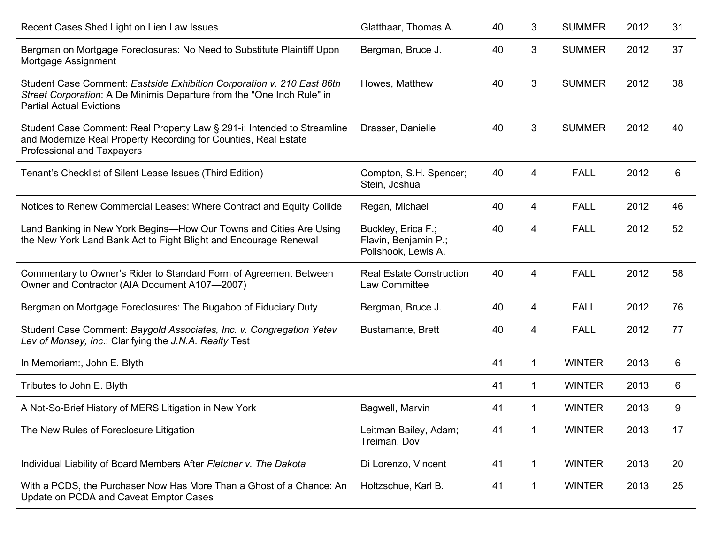| Recent Cases Shed Light on Lien Law Issues                                                                                                                                          | Glatthaar, Thomas A.                                              | 40 | 3  | <b>SUMMER</b> | 2012 | 31 |
|-------------------------------------------------------------------------------------------------------------------------------------------------------------------------------------|-------------------------------------------------------------------|----|----|---------------|------|----|
| Bergman on Mortgage Foreclosures: No Need to Substitute Plaintiff Upon<br>Mortgage Assignment                                                                                       | Bergman, Bruce J.                                                 | 40 | 3  | <b>SUMMER</b> | 2012 | 37 |
| Student Case Comment: Eastside Exhibition Corporation v. 210 East 86th<br>Street Corporation: A De Minimis Departure from the "One Inch Rule" in<br><b>Partial Actual Evictions</b> | Howes, Matthew                                                    | 40 | 3  | <b>SUMMER</b> | 2012 | 38 |
| Student Case Comment: Real Property Law § 291-i: Intended to Streamline<br>and Modernize Real Property Recording for Counties, Real Estate<br>Professional and Taxpayers            | Drasser, Danielle                                                 | 40 | 3  | <b>SUMMER</b> | 2012 | 40 |
| Tenant's Checklist of Silent Lease Issues (Third Edition)                                                                                                                           | Compton, S.H. Spencer;<br>Stein, Joshua                           | 40 | 4  | <b>FALL</b>   | 2012 | 6  |
| Notices to Renew Commercial Leases: Where Contract and Equity Collide                                                                                                               | Regan, Michael                                                    | 40 | 4  | <b>FALL</b>   | 2012 | 46 |
| Land Banking in New York Begins-How Our Towns and Cities Are Using<br>the New York Land Bank Act to Fight Blight and Encourage Renewal                                              | Buckley, Erica F.;<br>Flavin, Benjamin P.;<br>Polishook, Lewis A. | 40 | 4  | <b>FALL</b>   | 2012 | 52 |
| Commentary to Owner's Rider to Standard Form of Agreement Between<br>Owner and Contractor (AIA Document A107-2007)                                                                  | <b>Real Estate Construction</b><br>Law Committee                  | 40 | 4  | <b>FALL</b>   | 2012 | 58 |
| Bergman on Mortgage Foreclosures: The Bugaboo of Fiduciary Duty                                                                                                                     | Bergman, Bruce J.                                                 | 40 | 4  | <b>FALL</b>   | 2012 | 76 |
| Student Case Comment: Baygold Associates, Inc. v. Congregation Yetev<br>Lev of Monsey, Inc.: Clarifying the J.N.A. Realty Test                                                      | Bustamante, Brett                                                 | 40 | 4  | <b>FALL</b>   | 2012 | 77 |
| In Memoriam:, John E. Blyth                                                                                                                                                         |                                                                   | 41 | 1  | <b>WINTER</b> | 2013 | 6  |
| Tributes to John E. Blyth                                                                                                                                                           |                                                                   | 41 | 1. | <b>WINTER</b> | 2013 | 6  |
| A Not-So-Brief History of MERS Litigation in New York                                                                                                                               | Bagwell, Marvin                                                   | 41 | 1  | <b>WINTER</b> | 2013 | 9  |
| The New Rules of Foreclosure Litigation                                                                                                                                             | Leitman Bailey, Adam;<br>Treiman, Dov                             | 41 | 1  | <b>WINTER</b> | 2013 | 17 |
| Individual Liability of Board Members After Fletcher v. The Dakota                                                                                                                  | Di Lorenzo, Vincent                                               | 41 | 1  | <b>WINTER</b> | 2013 | 20 |
| With a PCDS, the Purchaser Now Has More Than a Ghost of a Chance: An<br>Update on PCDA and Caveat Emptor Cases                                                                      | Holtzschue, Karl B.                                               | 41 | 1  | <b>WINTER</b> | 2013 | 25 |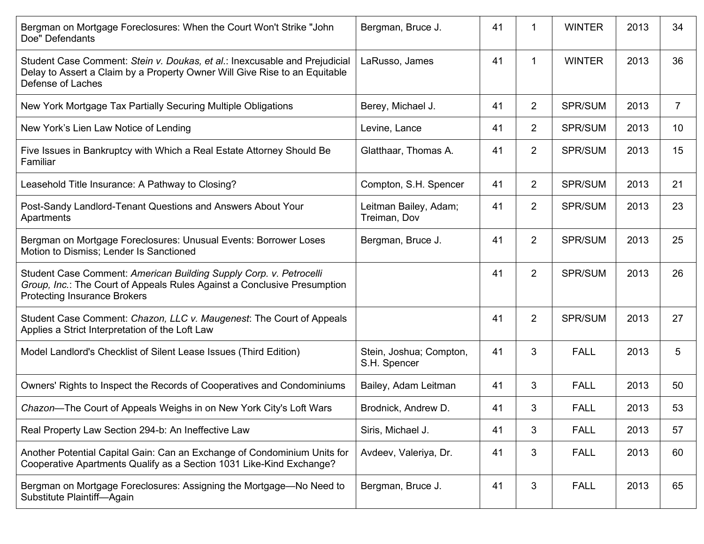| Bergman on Mortgage Foreclosures: When the Court Won't Strike "John<br>Doe" Defendants                                                                                                | Bergman, Bruce J.                       | 41 |                | <b>WINTER</b>  | 2013 | 34             |
|---------------------------------------------------------------------------------------------------------------------------------------------------------------------------------------|-----------------------------------------|----|----------------|----------------|------|----------------|
| Student Case Comment: Stein v. Doukas, et al.: Inexcusable and Prejudicial<br>Delay to Assert a Claim by a Property Owner Will Give Rise to an Equitable<br>Defense of Laches         | LaRusso, James                          | 41 |                | <b>WINTER</b>  | 2013 | 36             |
| New York Mortgage Tax Partially Securing Multiple Obligations                                                                                                                         | Berey, Michael J.                       | 41 | $\overline{2}$ | SPR/SUM        | 2013 | $\overline{7}$ |
| New York's Lien Law Notice of Lending                                                                                                                                                 | Levine, Lance                           | 41 | $\overline{2}$ | SPR/SUM        | 2013 | 10             |
| Five Issues in Bankruptcy with Which a Real Estate Attorney Should Be<br>Familiar                                                                                                     | Glatthaar, Thomas A.                    | 41 | $\overline{2}$ | <b>SPR/SUM</b> | 2013 | 15             |
| Leasehold Title Insurance: A Pathway to Closing?                                                                                                                                      | Compton, S.H. Spencer                   | 41 | $\overline{2}$ | SPR/SUM        | 2013 | 21             |
| Post-Sandy Landlord-Tenant Questions and Answers About Your<br>Apartments                                                                                                             | Leitman Bailey, Adam;<br>Treiman, Dov   | 41 | $\overline{2}$ | SPR/SUM        | 2013 | 23             |
| Bergman on Mortgage Foreclosures: Unusual Events: Borrower Loses<br>Motion to Dismiss; Lender Is Sanctioned                                                                           | Bergman, Bruce J.                       | 41 | $\overline{2}$ | SPR/SUM        | 2013 | 25             |
| Student Case Comment: American Building Supply Corp. v. Petrocelli<br>Group, Inc.: The Court of Appeals Rules Against a Conclusive Presumption<br><b>Protecting Insurance Brokers</b> |                                         | 41 | $\overline{2}$ | SPR/SUM        | 2013 | 26             |
| Student Case Comment: Chazon, LLC v. Maugenest: The Court of Appeals<br>Applies a Strict Interpretation of the Loft Law                                                               |                                         | 41 | 2              | <b>SPR/SUM</b> | 2013 | 27             |
| Model Landlord's Checklist of Silent Lease Issues (Third Edition)                                                                                                                     | Stein, Joshua; Compton,<br>S.H. Spencer | 41 | 3              | <b>FALL</b>    | 2013 | 5              |
| Owners' Rights to Inspect the Records of Cooperatives and Condominiums                                                                                                                | Bailey, Adam Leitman                    | 41 | 3              | <b>FALL</b>    | 2013 | 50             |
| Chazon-The Court of Appeals Weighs in on New York City's Loft Wars                                                                                                                    | Brodnick, Andrew D.                     | 41 | 3              | <b>FALL</b>    | 2013 | 53             |
| Real Property Law Section 294-b: An Ineffective Law                                                                                                                                   | Siris, Michael J.                       | 41 | 3              | <b>FALL</b>    | 2013 | 57             |
| Another Potential Capital Gain: Can an Exchange of Condominium Units for<br>Cooperative Apartments Qualify as a Section 1031 Like-Kind Exchange?                                      | Avdeev, Valeriya, Dr.                   | 41 | 3              | <b>FALL</b>    | 2013 | 60             |
| Bergman on Mortgage Foreclosures: Assigning the Mortgage-No Need to<br>Substitute Plaintiff-Again                                                                                     | Bergman, Bruce J.                       | 41 | 3              | <b>FALL</b>    | 2013 | 65             |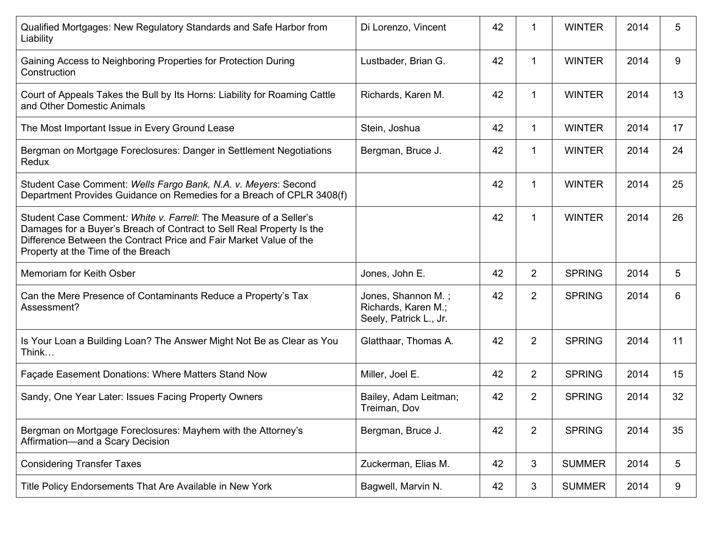| Qualified Mortgages: New Regulatory Standards and Safe Harbor from<br>Liability                                                                                                                                                                        | Di Lorenzo, Vincent                                                 | 42 |                | <b>WINTER</b> | 2014 | 5  |
|--------------------------------------------------------------------------------------------------------------------------------------------------------------------------------------------------------------------------------------------------------|---------------------------------------------------------------------|----|----------------|---------------|------|----|
| Gaining Access to Neighboring Properties for Protection During<br>Construction                                                                                                                                                                         | Lustbader, Brian G.                                                 | 42 |                | <b>WINTER</b> | 2014 | 9  |
| Court of Appeals Takes the Bull by Its Horns: Liability for Roaming Cattle<br>and Other Domestic Animals                                                                                                                                               | Richards, Karen M.                                                  | 42 |                | <b>WINTER</b> | 2014 | 13 |
| The Most Important Issue in Every Ground Lease                                                                                                                                                                                                         | Stein, Joshua                                                       | 42 |                | <b>WINTER</b> | 2014 | 17 |
| Bergman on Mortgage Foreclosures: Danger in Settlement Negotiations<br>Redux                                                                                                                                                                           | Bergman, Bruce J.                                                   | 42 |                | <b>WINTER</b> | 2014 | 24 |
| Student Case Comment: Wells Fargo Bank, N.A. v. Meyers: Second<br>Department Provides Guidance on Remedies for a Breach of CPLR 3408(f)                                                                                                                |                                                                     | 42 |                | <b>WINTER</b> | 2014 | 25 |
| Student Case Comment: White v. Farrell: The Measure of a Seller's<br>Damages for a Buyer's Breach of Contract to Sell Real Property Is the<br>Difference Between the Contract Price and Fair Market Value of the<br>Property at the Time of the Breach |                                                                     | 42 |                | <b>WINTER</b> | 2014 | 26 |
| Memoriam for Keith Osber                                                                                                                                                                                                                               | Jones, John E.                                                      | 42 | $\overline{2}$ | <b>SPRING</b> | 2014 | 5  |
| Can the Mere Presence of Contaminants Reduce a Property's Tax<br>Assessment?                                                                                                                                                                           | Jones, Shannon M.;<br>Richards, Karen M.;<br>Seely, Patrick L., Jr. | 42 | $\overline{2}$ | <b>SPRING</b> | 2014 | 6  |
| Is Your Loan a Building Loan? The Answer Might Not Be as Clear as You<br>Think                                                                                                                                                                         | Glatthaar, Thomas A.                                                | 42 | 2              | <b>SPRING</b> | 2014 | 11 |
| Façade Easement Donations: Where Matters Stand Now                                                                                                                                                                                                     | Miller, Joel E.                                                     | 42 | $\overline{2}$ | <b>SPRING</b> | 2014 | 15 |
| Sandy, One Year Later: Issues Facing Property Owners                                                                                                                                                                                                   | Bailey, Adam Leitman;<br>Treiman, Dov                               | 42 | $\overline{2}$ | <b>SPRING</b> | 2014 | 32 |
| Bergman on Mortgage Foreclosures: Mayhem with the Attorney's<br>Affirmation-and a Scary Decision                                                                                                                                                       | Bergman, Bruce J.                                                   | 42 | $\overline{2}$ | <b>SPRING</b> | 2014 | 35 |
| <b>Considering Transfer Taxes</b>                                                                                                                                                                                                                      | Zuckerman, Elias M.                                                 | 42 | 3              | <b>SUMMER</b> | 2014 | 5  |
| Title Policy Endorsements That Are Available in New York                                                                                                                                                                                               | Bagwell, Marvin N.                                                  | 42 | 3              | <b>SUMMER</b> | 2014 | 9  |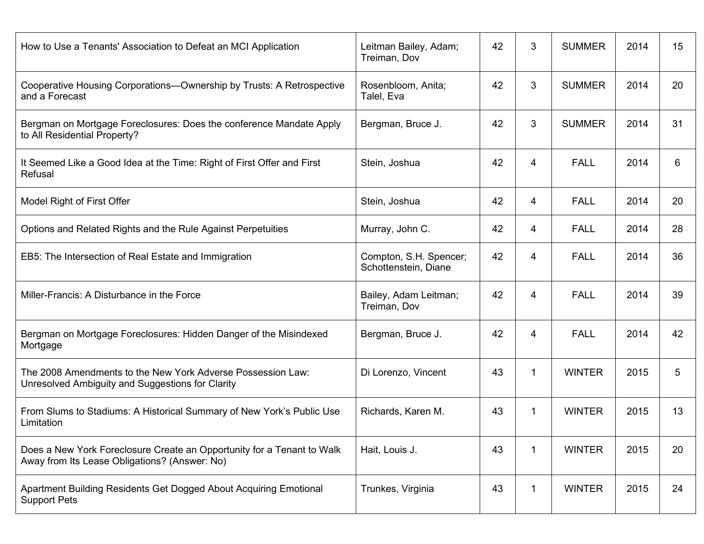| How to Use a Tenants' Association to Defeat an MCI Application                                                          | Leitman Bailey, Adam;<br>Treiman, Dov          | 42 | 3 | <b>SUMMER</b> | 2014 | 15 |
|-------------------------------------------------------------------------------------------------------------------------|------------------------------------------------|----|---|---------------|------|----|
| Cooperative Housing Corporations-Ownership by Trusts: A Retrospective<br>and a Forecast                                 | Rosenbloom, Anita;<br>Talel, Eva               | 42 | 3 | <b>SUMMER</b> | 2014 | 20 |
| Bergman on Mortgage Foreclosures: Does the conference Mandate Apply<br>to All Residential Property?                     | Bergman, Bruce J.                              | 42 | 3 | <b>SUMMER</b> | 2014 | 31 |
| It Seemed Like a Good Idea at the Time: Right of First Offer and First<br>Refusal                                       | Stein, Joshua                                  | 42 | 4 | <b>FALL</b>   | 2014 | 6  |
| Model Right of First Offer                                                                                              | Stein, Joshua                                  | 42 | 4 | <b>FALL</b>   | 2014 | 20 |
| Options and Related Rights and the Rule Against Perpetuities                                                            | Murray, John C.                                | 42 | 4 | <b>FALL</b>   | 2014 | 28 |
| EB5: The Intersection of Real Estate and Immigration                                                                    | Compton, S.H. Spencer;<br>Schottenstein, Diane | 42 | 4 | <b>FALL</b>   | 2014 | 36 |
| Miller-Francis: A Disturbance in the Force                                                                              | Bailey, Adam Leitman;<br>Treiman, Dov          | 42 | 4 | <b>FALL</b>   | 2014 | 39 |
| Bergman on Mortgage Foreclosures: Hidden Danger of the Misindexed<br>Mortgage                                           | Bergman, Bruce J.                              | 42 | 4 | <b>FALL</b>   | 2014 | 42 |
| The 2008 Amendments to the New York Adverse Possession Law:<br>Unresolved Ambiguity and Suggestions for Clarity         | Di Lorenzo, Vincent                            | 43 | 1 | <b>WINTER</b> | 2015 | 5  |
| From Slums to Stadiums: A Historical Summary of New York's Public Use<br>Limitation                                     | Richards, Karen M.                             | 43 |   | <b>WINTER</b> | 2015 | 13 |
| Does a New York Foreclosure Create an Opportunity for a Tenant to Walk<br>Away from Its Lease Obligations? (Answer: No) | Hait, Louis J.                                 | 43 |   | <b>WINTER</b> | 2015 | 20 |
| Apartment Building Residents Get Dogged About Acquiring Emotional<br><b>Support Pets</b>                                | Trunkes, Virginia                              | 43 |   | <b>WINTER</b> | 2015 | 24 |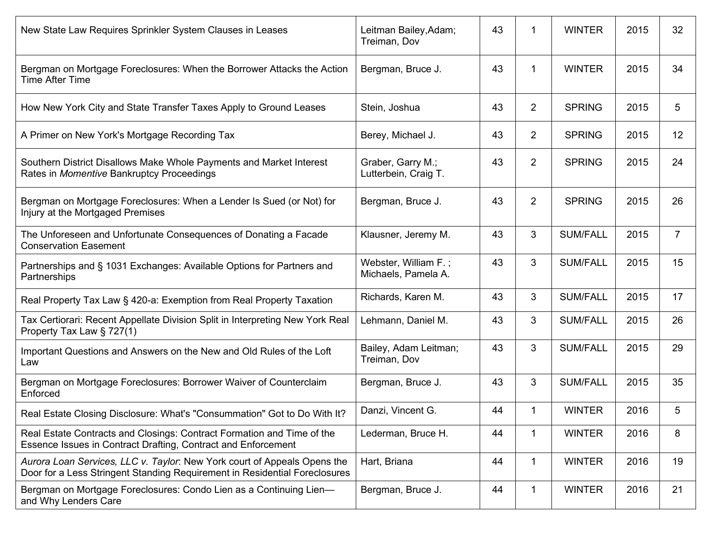| New State Law Requires Sprinkler System Clauses in Leases                                                                                              | Leitman Bailey, Adam;<br>Treiman, Dov       | 43 |                | <b>WINTER</b>   | 2015 | 32             |
|--------------------------------------------------------------------------------------------------------------------------------------------------------|---------------------------------------------|----|----------------|-----------------|------|----------------|
| Bergman on Mortgage Foreclosures: When the Borrower Attacks the Action<br><b>Time After Time</b>                                                       | Bergman, Bruce J.                           | 43 |                | <b>WINTER</b>   | 2015 | 34             |
| How New York City and State Transfer Taxes Apply to Ground Leases                                                                                      | Stein, Joshua                               | 43 | $\overline{2}$ | <b>SPRING</b>   | 2015 | 5              |
| A Primer on New York's Mortgage Recording Tax                                                                                                          | Berey, Michael J.                           | 43 | $\overline{2}$ | <b>SPRING</b>   | 2015 | 12             |
| Southern District Disallows Make Whole Payments and Market Interest<br>Rates in Momentive Bankruptcy Proceedings                                       | Graber, Garry M.;<br>Lutterbein, Craig T.   | 43 | $\overline{2}$ | <b>SPRING</b>   | 2015 | 24             |
| Bergman on Mortgage Foreclosures: When a Lender Is Sued (or Not) for<br>Injury at the Mortgaged Premises                                               | Bergman, Bruce J.                           | 43 | $\overline{2}$ | <b>SPRING</b>   | 2015 | 26             |
| The Unforeseen and Unfortunate Consequences of Donating a Facade<br><b>Conservation Easement</b>                                                       | Klausner, Jeremy M.                         | 43 | 3              | <b>SUM/FALL</b> | 2015 | $\overline{7}$ |
| Partnerships and § 1031 Exchanges: Available Options for Partners and<br>Partnerships                                                                  | Webster, William F.;<br>Michaels, Pamela A. | 43 | 3              | <b>SUM/FALL</b> | 2015 | 15             |
| Real Property Tax Law § 420-a: Exemption from Real Property Taxation                                                                                   | Richards, Karen M.                          | 43 | 3              | <b>SUM/FALL</b> | 2015 | 17             |
| Tax Certiorari: Recent Appellate Division Split in Interpreting New York Real<br>Property Tax Law § 727(1)                                             | Lehmann, Daniel M.                          | 43 | 3              | <b>SUM/FALL</b> | 2015 | 26             |
| Important Questions and Answers on the New and Old Rules of the Loft<br>Law                                                                            | Bailey, Adam Leitman;<br>Treiman, Dov       | 43 | 3              | <b>SUM/FALL</b> | 2015 | 29             |
| Bergman on Mortgage Foreclosures: Borrower Waiver of Counterclaim<br>Enforced                                                                          | Bergman, Bruce J.                           | 43 | 3              | <b>SUM/FALL</b> | 2015 | 35             |
| Real Estate Closing Disclosure: What's "Consummation" Got to Do With It?                                                                               | Danzi, Vincent G.                           | 44 |                | <b>WINTER</b>   | 2016 | 5              |
| Real Estate Contracts and Closings: Contract Formation and Time of the<br>Essence Issues in Contract Drafting, Contract and Enforcement                | Lederman, Bruce H.                          | 44 |                | <b>WINTER</b>   | 2016 | 8              |
| Aurora Loan Services, LLC v. Taylor: New York court of Appeals Opens the<br>Door for a Less Stringent Standing Requirement in Residential Foreclosures | Hart, Briana                                | 44 |                | <b>WINTER</b>   | 2016 | 19             |
| Bergman on Mortgage Foreclosures: Condo Lien as a Continuing Lien-<br>and Why Lenders Care                                                             | Bergman, Bruce J.                           | 44 |                | <b>WINTER</b>   | 2016 | 21             |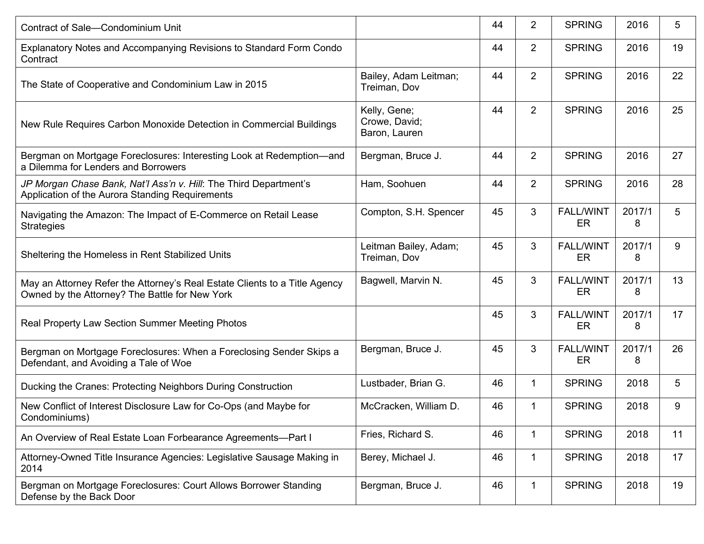| Contract of Sale-Condominium Unit                                                                                            |                                                | 44 | $\overline{2}$ | <b>SPRING</b>                 | 2016        | 5  |
|------------------------------------------------------------------------------------------------------------------------------|------------------------------------------------|----|----------------|-------------------------------|-------------|----|
| Explanatory Notes and Accompanying Revisions to Standard Form Condo<br>Contract                                              |                                                | 44 | $\overline{2}$ | <b>SPRING</b>                 | 2016        | 19 |
| The State of Cooperative and Condominium Law in 2015                                                                         | Bailey, Adam Leitman;<br>Treiman, Dov          | 44 | $\overline{2}$ | <b>SPRING</b>                 | 2016        | 22 |
| New Rule Requires Carbon Monoxide Detection in Commercial Buildings                                                          | Kelly, Gene;<br>Crowe, David;<br>Baron, Lauren | 44 | $\overline{2}$ | <b>SPRING</b>                 | 2016        | 25 |
| Bergman on Mortgage Foreclosures: Interesting Look at Redemption-and<br>a Dilemma for Lenders and Borrowers                  | Bergman, Bruce J.                              | 44 | $\overline{2}$ | <b>SPRING</b>                 | 2016        | 27 |
| JP Morgan Chase Bank, Nat'l Ass'n v. Hill: The Third Department's<br>Application of the Aurora Standing Requirements         | Ham, Soohuen                                   | 44 | $\overline{2}$ | <b>SPRING</b>                 | 2016        | 28 |
| Navigating the Amazon: The Impact of E-Commerce on Retail Lease<br><b>Strategies</b>                                         | Compton, S.H. Spencer                          | 45 | 3              | <b>FALL/WINT</b><br>ER        | 2017/1<br>8 | 5  |
| Sheltering the Homeless in Rent Stabilized Units                                                                             | Leitman Bailey, Adam;<br>Treiman, Dov          | 45 | 3              | <b>FALL/WINT</b><br>ER        | 2017/1<br>8 | 9  |
| May an Attorney Refer the Attorney's Real Estate Clients to a Title Agency<br>Owned by the Attorney? The Battle for New York | Bagwell, Marvin N.                             | 45 | 3              | <b>FALL/WINT</b><br>ER        | 2017/1<br>8 | 13 |
| Real Property Law Section Summer Meeting Photos                                                                              |                                                | 45 | 3              | <b>FALL/WINT</b><br><b>ER</b> | 2017/1<br>8 | 17 |
| Bergman on Mortgage Foreclosures: When a Foreclosing Sender Skips a<br>Defendant, and Avoiding a Tale of Woe                 | Bergman, Bruce J.                              | 45 | 3              | <b>FALL/WINT</b><br><b>ER</b> | 2017/1<br>8 | 26 |
| Ducking the Cranes: Protecting Neighbors During Construction                                                                 | Lustbader, Brian G.                            | 46 | $\mathbf{1}$   | <b>SPRING</b>                 | 2018        | 5  |
| New Conflict of Interest Disclosure Law for Co-Ops (and Maybe for<br>Condominiums)                                           | McCracken, William D.                          | 46 | 1.             | <b>SPRING</b>                 | 2018        | 9  |
| An Overview of Real Estate Loan Forbearance Agreements-Part I                                                                | Fries, Richard S.                              | 46 | 1              | <b>SPRING</b>                 | 2018        | 11 |
| Attorney-Owned Title Insurance Agencies: Legislative Sausage Making in<br>2014                                               | Berey, Michael J.                              | 46 | $\mathbf{1}$   | <b>SPRING</b>                 | 2018        | 17 |
| Bergman on Mortgage Foreclosures: Court Allows Borrower Standing<br>Defense by the Back Door                                 | Bergman, Bruce J.                              | 46 | 1              | <b>SPRING</b>                 | 2018        | 19 |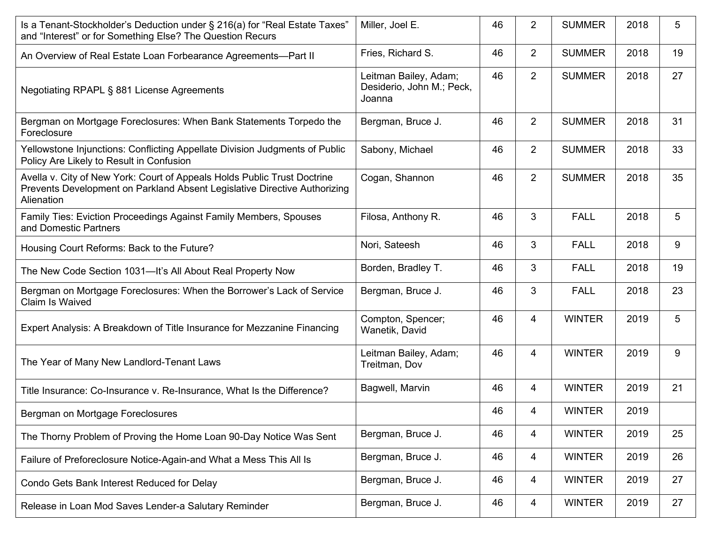| Is a Tenant-Stockholder's Deduction under § 216(a) for "Real Estate Taxes"<br>and "Interest" or for Something Else? The Question Recurs                             | Miller, Joel E.                                              | 46 | $\overline{2}$ | <b>SUMMER</b> | 2018 | 5  |
|---------------------------------------------------------------------------------------------------------------------------------------------------------------------|--------------------------------------------------------------|----|----------------|---------------|------|----|
| An Overview of Real Estate Loan Forbearance Agreements-Part II                                                                                                      | Fries, Richard S.                                            | 46 | $\overline{2}$ | <b>SUMMER</b> | 2018 | 19 |
| Negotiating RPAPL § 881 License Agreements                                                                                                                          | Leitman Bailey, Adam;<br>Desiderio, John M.; Peck,<br>Joanna | 46 | $\overline{2}$ | <b>SUMMER</b> | 2018 | 27 |
| Bergman on Mortgage Foreclosures: When Bank Statements Torpedo the<br>Foreclosure                                                                                   | Bergman, Bruce J.                                            | 46 | $\overline{2}$ | <b>SUMMER</b> | 2018 | 31 |
| Yellowstone Injunctions: Conflicting Appellate Division Judgments of Public<br>Policy Are Likely to Result in Confusion                                             | Sabony, Michael                                              | 46 | $\overline{2}$ | <b>SUMMER</b> | 2018 | 33 |
| Avella v. City of New York: Court of Appeals Holds Public Trust Doctrine<br>Prevents Development on Parkland Absent Legislative Directive Authorizing<br>Alienation | Cogan, Shannon                                               | 46 | $\overline{2}$ | <b>SUMMER</b> | 2018 | 35 |
| Family Ties: Eviction Proceedings Against Family Members, Spouses<br>and Domestic Partners                                                                          | Filosa, Anthony R.                                           | 46 | 3              | <b>FALL</b>   | 2018 | 5  |
| Housing Court Reforms: Back to the Future?                                                                                                                          | Nori, Sateesh                                                | 46 | 3              | <b>FALL</b>   | 2018 | 9  |
| The New Code Section 1031-It's All About Real Property Now                                                                                                          | Borden, Bradley T.                                           | 46 | 3              | <b>FALL</b>   | 2018 | 19 |
| Bergman on Mortgage Foreclosures: When the Borrower's Lack of Service<br>Claim Is Waived                                                                            | Bergman, Bruce J.                                            | 46 | 3              | <b>FALL</b>   | 2018 | 23 |
| Expert Analysis: A Breakdown of Title Insurance for Mezzanine Financing                                                                                             | Compton, Spencer;<br>Wanetik, David                          | 46 | 4              | <b>WINTER</b> | 2019 | 5  |
| The Year of Many New Landlord-Tenant Laws                                                                                                                           | Leitman Bailey, Adam;<br>Treitman, Dov                       | 46 | 4              | <b>WINTER</b> | 2019 | 9  |
| Title Insurance: Co-Insurance v. Re-Insurance, What Is the Difference?                                                                                              | Bagwell, Marvin                                              | 46 | 4              | <b>WINTER</b> | 2019 | 21 |
| Bergman on Mortgage Foreclosures                                                                                                                                    |                                                              | 46 | 4              | <b>WINTER</b> | 2019 |    |
| The Thorny Problem of Proving the Home Loan 90-Day Notice Was Sent                                                                                                  | Bergman, Bruce J.                                            | 46 | 4              | <b>WINTER</b> | 2019 | 25 |
| Failure of Preforeclosure Notice-Again-and What a Mess This All Is                                                                                                  | Bergman, Bruce J.                                            | 46 | 4              | <b>WINTER</b> | 2019 | 26 |
| Condo Gets Bank Interest Reduced for Delay                                                                                                                          | Bergman, Bruce J.                                            | 46 | 4              | <b>WINTER</b> | 2019 | 27 |
| Release in Loan Mod Saves Lender-a Salutary Reminder                                                                                                                | Bergman, Bruce J.                                            | 46 | 4              | <b>WINTER</b> | 2019 | 27 |
|                                                                                                                                                                     |                                                              |    |                |               |      |    |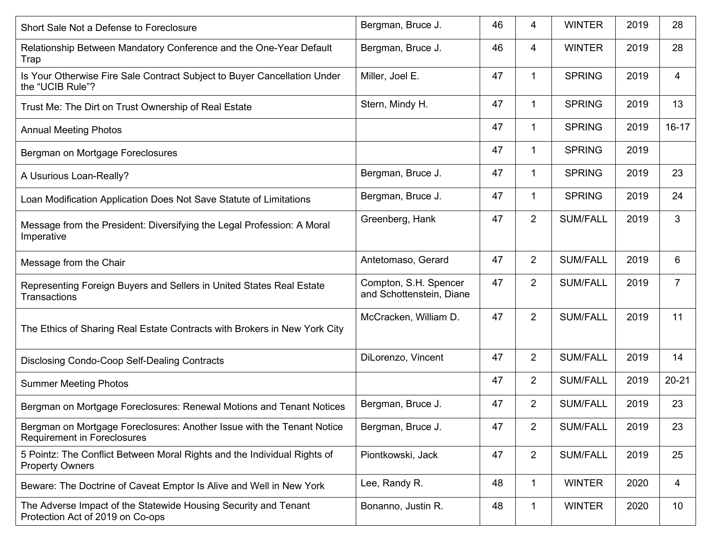| Short Sale Not a Defense to Foreclosure                                                                      | Bergman, Bruce J.                                 | 46 | 4              | <b>WINTER</b>   | 2019 | 28             |
|--------------------------------------------------------------------------------------------------------------|---------------------------------------------------|----|----------------|-----------------|------|----------------|
| Relationship Between Mandatory Conference and the One-Year Default<br>Trap                                   | Bergman, Bruce J.                                 | 46 | 4              | <b>WINTER</b>   | 2019 | 28             |
| Is Your Otherwise Fire Sale Contract Subject to Buyer Cancellation Under<br>the "UCIB Rule"?                 | Miller, Joel E.                                   | 47 |                | <b>SPRING</b>   | 2019 | 4              |
| Trust Me: The Dirt on Trust Ownership of Real Estate                                                         | Stern, Mindy H.                                   | 47 | 1              | <b>SPRING</b>   | 2019 | 13             |
| <b>Annual Meeting Photos</b>                                                                                 |                                                   | 47 | 1              | <b>SPRING</b>   | 2019 | $16 - 17$      |
| Bergman on Mortgage Foreclosures                                                                             |                                                   | 47 |                | <b>SPRING</b>   | 2019 |                |
| A Usurious Loan-Really?                                                                                      | Bergman, Bruce J.                                 | 47 | 1              | <b>SPRING</b>   | 2019 | 23             |
| Loan Modification Application Does Not Save Statute of Limitations                                           | Bergman, Bruce J.                                 | 47 | 1              | <b>SPRING</b>   | 2019 | 24             |
| Message from the President: Diversifying the Legal Profession: A Moral<br>Imperative                         | Greenberg, Hank                                   | 47 | $\overline{2}$ | <b>SUM/FALL</b> | 2019 | 3              |
| Message from the Chair                                                                                       | Antetomaso, Gerard                                | 47 | $\overline{2}$ | <b>SUM/FALL</b> | 2019 | 6              |
| Representing Foreign Buyers and Sellers in United States Real Estate<br><b>Transactions</b>                  | Compton, S.H. Spencer<br>and Schottenstein, Diane | 47 | 2              | <b>SUM/FALL</b> | 2019 | $\overline{7}$ |
| The Ethics of Sharing Real Estate Contracts with Brokers in New York City                                    | McCracken, William D.                             | 47 | 2              | <b>SUM/FALL</b> | 2019 | 11             |
| <b>Disclosing Condo-Coop Self-Dealing Contracts</b>                                                          | DiLorenzo, Vincent                                | 47 | $\overline{2}$ | <b>SUM/FALL</b> | 2019 | 14             |
| <b>Summer Meeting Photos</b>                                                                                 |                                                   | 47 | $\overline{2}$ | <b>SUM/FALL</b> | 2019 | $20 - 21$      |
| Bergman on Mortgage Foreclosures: Renewal Motions and Tenant Notices                                         | Bergman, Bruce J.                                 | 47 | $\overline{2}$ | <b>SUM/FALL</b> | 2019 | 23             |
| Bergman on Mortgage Foreclosures: Another Issue with the Tenant Notice<br><b>Requirement in Foreclosures</b> | Bergman, Bruce J.                                 | 47 | $\overline{2}$ | <b>SUM/FALL</b> | 2019 | 23             |
| 5 Pointz: The Conflict Between Moral Rights and the Individual Rights of<br><b>Property Owners</b>           | Piontkowski, Jack                                 | 47 | $\overline{2}$ | <b>SUM/FALL</b> | 2019 | 25             |
| Beware: The Doctrine of Caveat Emptor Is Alive and Well in New York                                          | Lee, Randy R.                                     | 48 | 1              | <b>WINTER</b>   | 2020 | 4              |
| The Adverse Impact of the Statewide Housing Security and Tenant<br>Protection Act of 2019 on Co-ops          | Bonanno, Justin R.                                | 48 |                | <b>WINTER</b>   | 2020 | 10             |